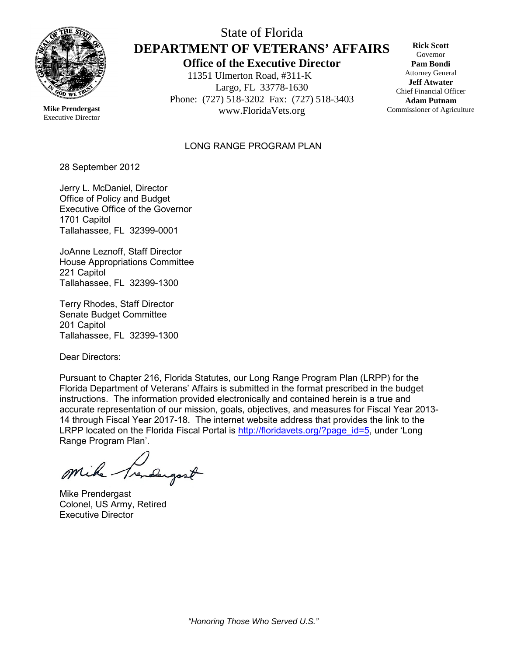

# State of Florida **DEPARTMENT OF VETERANS' AFFAIRS Office of the Executive Director**

11351 Ulmerton Road, #311-K Largo, FL 33778-1630

Phone: (727) 518-3202 Fax: (727) 518-3403 Mike Prendergast **Mike Prendergast** WWW.FloridaVets.org Commissioner of Agriculture

**Rick Scott** Governor **Pam Bondi** Attorney General **Jeff Atwater** Chief Financial Officer **Adam Putnam**

Executive Director

#### LONG RANGE PROGRAM PLAN

28 September 2012

Jerry L. McDaniel, Director Office of Policy and Budget Executive Office of the Governor 1701 Capitol Tallahassee, FL 32399-0001

JoAnne Leznoff, Staff Director House Appropriations Committee 221 Capitol Tallahassee, FL 32399-1300

Terry Rhodes, Staff Director Senate Budget Committee 201 Capitol Tallahassee, FL 32399-1300

Dear Directors:

Pursuant to Chapter 216, Florida Statutes, our Long Range Program Plan (LRPP) for the Florida Department of Veterans' Affairs is submitted in the format prescribed in the budget instructions. The information provided electronically and contained herein is a true and accurate representation of our mission, goals, objectives, and measures for Fiscal Year 2013- 14 through Fiscal Year 2017-18. The internet website address that provides the link to the LRPP located on the Florida Fiscal Portal is [http://floridavets.org/?page\\_id=5,](http://floridavets.org/?page_id=5) under 'Long Range Program Plan'.

Mike Trendergost

Mike Prendergast Colonel, US Army, Retired Executive Director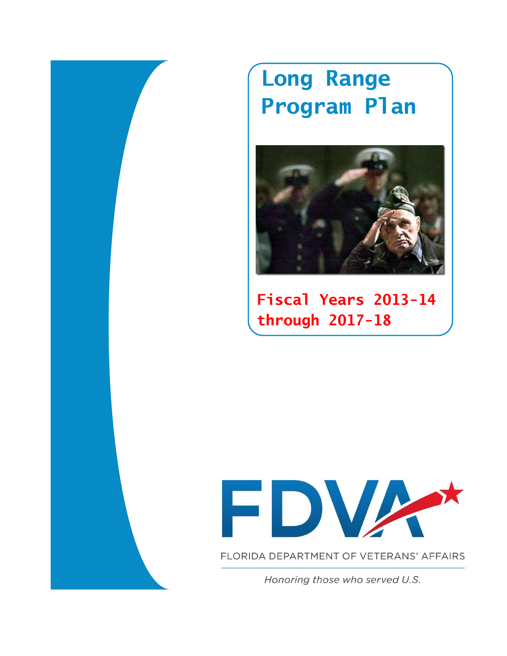



**Fiscal Years 2013-14 through 2017-18**



FLORIDA DEPARTMENT OF VETERANS' AFFAIRS

Honoring those who served U.S.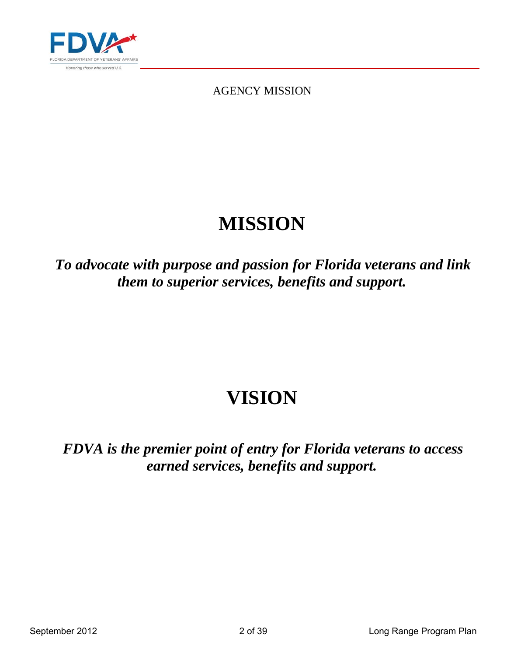

AGENCY MISSION

# **MISSION**

*To advocate with purpose and passion for Florida veterans and link them to superior services, benefits and support.* 

# **VISION**

*FDVA is the premier point of entry for Florida veterans to access earned services, benefits and support.*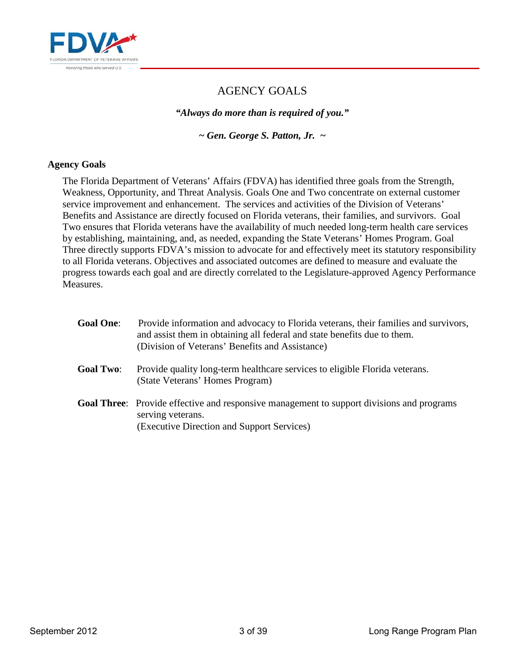

# AGENCY GOALS

*"Always do more than is required of you."* 

*~ Gen. George S. Patton, Jr. ~* 

#### **Agency Goals**

The Florida Department of Veterans' Affairs (FDVA) has identified three goals from the Strength, Weakness, Opportunity, and Threat Analysis. Goals One and Two concentrate on external customer service improvement and enhancement. The services and activities of the Division of Veterans' Benefits and Assistance are directly focused on Florida veterans, their families, and survivors. Goal Two ensures that Florida veterans have the availability of much needed long-term health care services by establishing, maintaining, and, as needed, expanding the State Veterans' Homes Program. Goal Three directly supports FDVA's mission to advocate for and effectively meet its statutory responsibility to all Florida veterans. Objectives and associated outcomes are defined to measure and evaluate the progress towards each goal and are directly correlated to the Legislature-approved Agency Performance Measures.

| <b>Goal One:</b> | Provide information and advocacy to Florida veterans, their families and survivors,<br>and assist them in obtaining all federal and state benefits due to them.<br>(Division of Veterans' Benefits and Assistance) |
|------------------|--------------------------------------------------------------------------------------------------------------------------------------------------------------------------------------------------------------------|
| <b>Goal Two:</b> | Provide quality long-term healthcare services to eligible Florida veterans.<br>(State Veterans' Homes Program)                                                                                                     |
|                  | <b>Goal Three:</b> Provide effective and responsive management to support divisions and programs<br>serving veterans.<br>(Executive Direction and Support Services)                                                |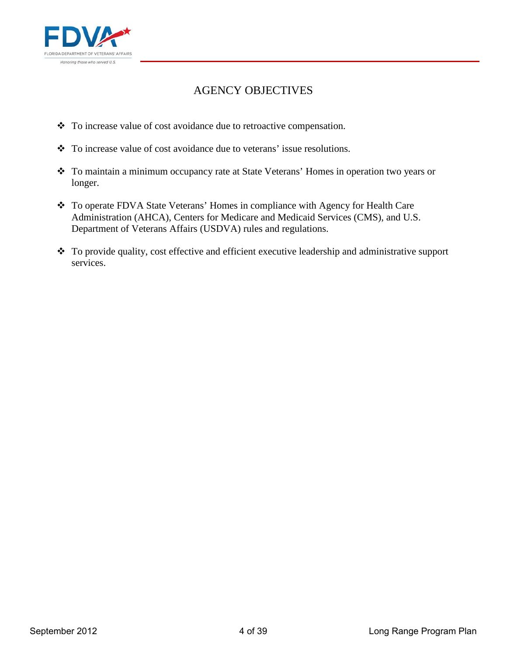

# AGENCY OBJECTIVES

- \* To increase value of cost avoidance due to retroactive compensation.
- \* To increase value of cost avoidance due to veterans' issue resolutions.
- To maintain a minimum occupancy rate at State Veterans' Homes in operation two years or longer.
- To operate FDVA State Veterans' Homes in compliance with Agency for Health Care Administration (AHCA), Centers for Medicare and Medicaid Services (CMS), and U.S. Department of Veterans Affairs (USDVA) rules and regulations.
- \* To provide quality, cost effective and efficient executive leadership and administrative support services.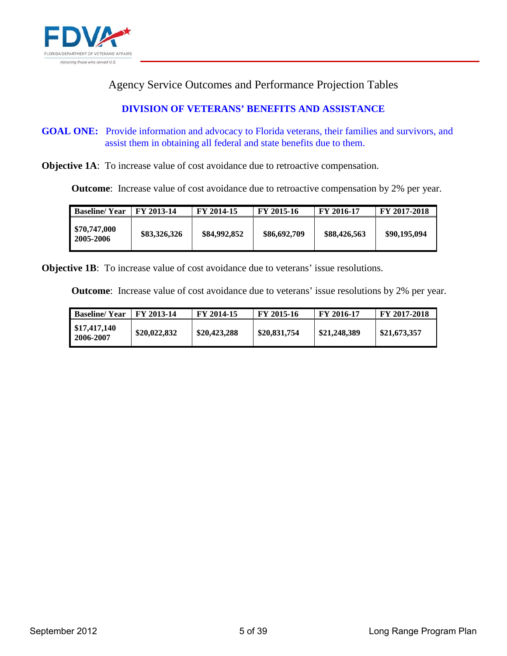

Agency Service Outcomes and Performance Projection Tables

#### **DIVISION OF VETERANS' BENEFITS AND ASSISTANCE**

**GOAL ONE:** Provide information and advocacy to Florida veterans, their families and survivors, and assist them in obtaining all federal and state benefits due to them.

**Objective 1A:** To increase value of cost avoidance due to retroactive compensation.

**Outcome:** Increase value of cost avoidance due to retroactive compensation by 2% per year.

| <b>Baseline/Year</b>      | FY 2013-14   | FY 2014-15   | FY 2015-16   | FY 2016-17   | FY 2017-2018 |
|---------------------------|--------------|--------------|--------------|--------------|--------------|
| \$70,747,000<br>2005-2006 | \$83,326,326 | \$84,992,852 | \$86,692,709 | \$88,426,563 | \$90,195,094 |

**Objective 1B**: To increase value of cost avoidance due to veterans' issue resolutions.

**Outcome:** Increase value of cost avoidance due to veterans' issue resolutions by 2% per year.

| <b>Baseline/Year</b>      | FY 2013-14   | FY 2014-15   | FY 2015-16   | FY 2016-17   | FY 2017-2018 |
|---------------------------|--------------|--------------|--------------|--------------|--------------|
| \$17,417,140<br>2006-2007 | \$20,022,832 | \$20,423,288 | \$20,831,754 | \$21,248,389 | \$21,673,357 |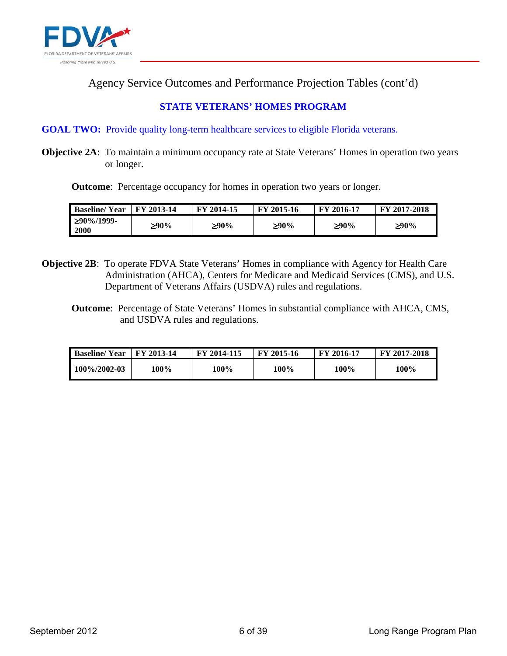

Agency Service Outcomes and Performance Projection Tables (cont'd)

# **STATE VETERANS' HOMES PROGRAM**

**GOAL TWO:** Provide quality long-term healthcare services to eligible Florida veterans.

**Objective 2A**: To maintain a minimum occupancy rate at State Veterans' Homes in operation two years or longer.

**Outcome**: Percentage occupancy for homes in operation two years or longer.

| <b>Baseline/Year</b>            | FY 2013-14 | FY 2014-15 | FY 2015-16 | FY 2016-17 | FY 2017-2018 |
|---------------------------------|------------|------------|------------|------------|--------------|
| $\geq 90\%/1999$<br><b>2000</b> | ≥90%       | ≥90%       | ≥90%       | ≥90%       | ≥90%         |

- **Objective 2B**: To operate FDVA State Veterans' Homes in compliance with Agency for Health Care Administration (AHCA), Centers for Medicare and Medicaid Services (CMS), and U.S. Department of Veterans Affairs (USDVA) rules and regulations.
	- **Outcome**: Percentage of State Veterans' Homes in substantial compliance with AHCA, CMS, and USDVA rules and regulations.

| <b>Baseline/Year</b> | FY 2013-14 | FY 2014-115 | FY 2015-16 | FY 2016-17  | FY 2017-2018 |
|----------------------|------------|-------------|------------|-------------|--------------|
| 100\%/2002-03        | 100%       | 100%        | 100%       | <b>100%</b> | 100%         |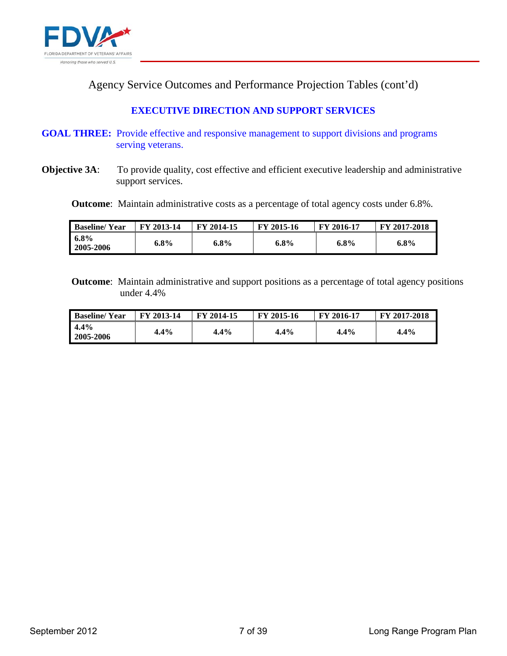

Agency Service Outcomes and Performance Projection Tables (cont'd)

## **EXECUTIVE DIRECTION AND SUPPORT SERVICES**

**GOAL THREE:** Provide effective and responsive management to support divisions and programs serving veterans.

**Objective 3A:** To provide quality, cost effective and efficient executive leadership and administrative support services.

**Outcome**: Maintain administrative costs as a percentage of total agency costs under 6.8%.

| <b>Baseline/Year</b> | $2013 - 14$<br>FY | FY 2014-15 | FY 2015-16 | FY 2016-17 | FY 2017-2018 |
|----------------------|-------------------|------------|------------|------------|--------------|
| $6.8\%$<br>2005-2006 | 6.8%              | 6.8%       | 6.8%       | 6.8%       | 6.8%         |

**Outcome**: Maintain administrative and support positions as a percentage of total agency positions under 4.4%

| <b>Baseline/Year</b> | $2013 - 14$<br>FY | FY 2014-15 | FY 2015-16 | FY 2016-17 | FY 2017-2018 |
|----------------------|-------------------|------------|------------|------------|--------------|
| $4.4\%$<br>2005-2006 | 4.4%              | 4.4%       | $4.4\%$    | $4.4\%$    | $4.4\%$      |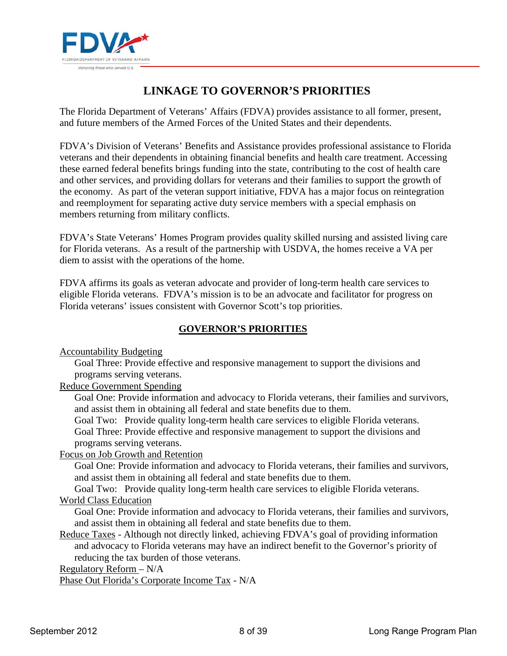

# **LINKAGE TO GOVERNOR'S PRIORITIES**

The Florida Department of Veterans' Affairs (FDVA) provides assistance to all former, present, and future members of the Armed Forces of the United States and their dependents.

FDVA's Division of Veterans' Benefits and Assistance provides professional assistance to Florida veterans and their dependents in obtaining financial benefits and health care treatment. Accessing these earned federal benefits brings funding into the state, contributing to the cost of health care and other services, and providing dollars for veterans and their families to support the growth of the economy. As part of the veteran support initiative, FDVA has a major focus on reintegration and reemployment for separating active duty service members with a special emphasis on members returning from military conflicts.

FDVA's State Veterans' Homes Program provides quality skilled nursing and assisted living care for Florida veterans. As a result of the partnership with USDVA, the homes receive a VA per diem to assist with the operations of the home.

FDVA affirms its goals as veteran advocate and provider of long-term health care services to eligible Florida veterans. FDVA's mission is to be an advocate and facilitator for progress on Florida veterans' issues consistent with Governor Scott's top priorities.

#### **GOVERNOR'S PRIORITIES**

Accountability Budgeting

Goal Three: Provide effective and responsive management to support the divisions and programs serving veterans.

Reduce Government Spending

Goal One: Provide information and advocacy to Florida veterans, their families and survivors, and assist them in obtaining all federal and state benefits due to them.

Goal Two: Provide quality long-term health care services to eligible Florida veterans. Goal Three: Provide effective and responsive management to support the divisions and programs serving veterans.

Focus on Job Growth and Retention

Goal One: Provide information and advocacy to Florida veterans, their families and survivors, and assist them in obtaining all federal and state benefits due to them.

Goal Two: Provide quality long-term health care services to eligible Florida veterans.

#### World Class Education

Goal One: Provide information and advocacy to Florida veterans, their families and survivors, and assist them in obtaining all federal and state benefits due to them.

Reduce Taxes - Although not directly linked, achieving FDVA's goal of providing information and advocacy to Florida veterans may have an indirect benefit to the Governor's priority of reducing the tax burden of those veterans.

Regulatory Reform – N/A

Phase Out Florida's Corporate Income Tax - N/A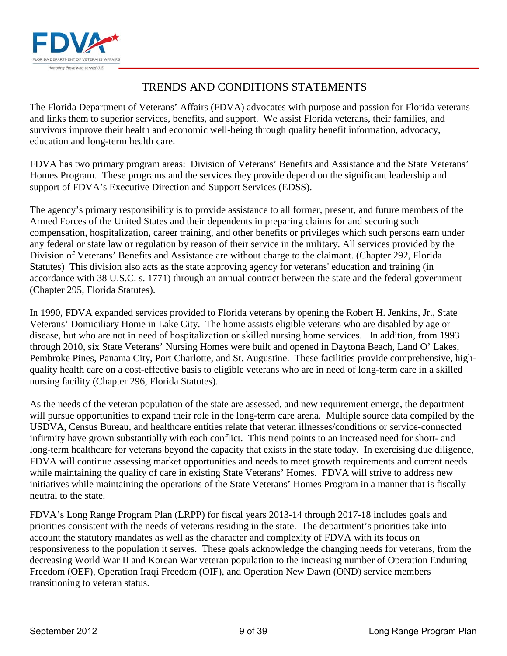

# TRENDS AND CONDITIONS STATEMENTS

The Florida Department of Veterans' Affairs (FDVA) advocates with purpose and passion for Florida veterans and links them to superior services, benefits, and support. We assist Florida veterans, their families, and survivors improve their health and economic well-being through quality benefit information, advocacy, education and long-term health care.

FDVA has two primary program areas: Division of Veterans' Benefits and Assistance and the State Veterans' Homes Program. These programs and the services they provide depend on the significant leadership and support of FDVA's Executive Direction and Support Services (EDSS).

The agency's primary responsibility is to provide assistance to all former, present, and future members of the Armed Forces of the United States and their dependents in preparing claims for and securing such compensation, hospitalization, career training, and other benefits or privileges which such persons earn under any federal or state law or regulation by reason of their service in the military. All services provided by the Division of Veterans' Benefits and Assistance are without charge to the claimant. (Chapter 292, Florida Statutes) This division also acts as the state approving agency for veterans' education and training (in accordance with 38 U.S.C. s. 1771) through an annual contract between the state and the federal government (Chapter 295, Florida Statutes).

In 1990, FDVA expanded services provided to Florida veterans by opening the Robert H. Jenkins, Jr., State Veterans' Domiciliary Home in Lake City. The home assists eligible veterans who are disabled by age or disease, but who are not in need of hospitalization or skilled nursing home services. In addition, from 1993 through 2010, six State Veterans' Nursing Homes were built and opened in Daytona Beach, Land O' Lakes, Pembroke Pines, Panama City, Port Charlotte, and St. Augustine. These facilities provide comprehensive, highquality health care on a cost-effective basis to eligible veterans who are in need of long-term care in a skilled nursing facility (Chapter 296, Florida Statutes).

As the needs of the veteran population of the state are assessed, and new requirement emerge, the department will pursue opportunities to expand their role in the long-term care arena. Multiple source data compiled by the USDVA, Census Bureau, and healthcare entities relate that veteran illnesses/conditions or service-connected infirmity have grown substantially with each conflict. This trend points to an increased need for short- and long-term healthcare for veterans beyond the capacity that exists in the state today. In exercising due diligence, FDVA will continue assessing market opportunities and needs to meet growth requirements and current needs while maintaining the quality of care in existing State Veterans' Homes. FDVA will strive to address new initiatives while maintaining the operations of the State Veterans' Homes Program in a manner that is fiscally neutral to the state.

FDVA's Long Range Program Plan (LRPP) for fiscal years 2013-14 through 2017-18 includes goals and priorities consistent with the needs of veterans residing in the state. The department's priorities take into account the statutory mandates as well as the character and complexity of FDVA with its focus on responsiveness to the population it serves. These goals acknowledge the changing needs for veterans, from the decreasing World War II and Korean War veteran population to the increasing number of Operation Enduring Freedom (OEF), Operation Iraqi Freedom (OIF), and Operation New Dawn (OND) service members transitioning to veteran status.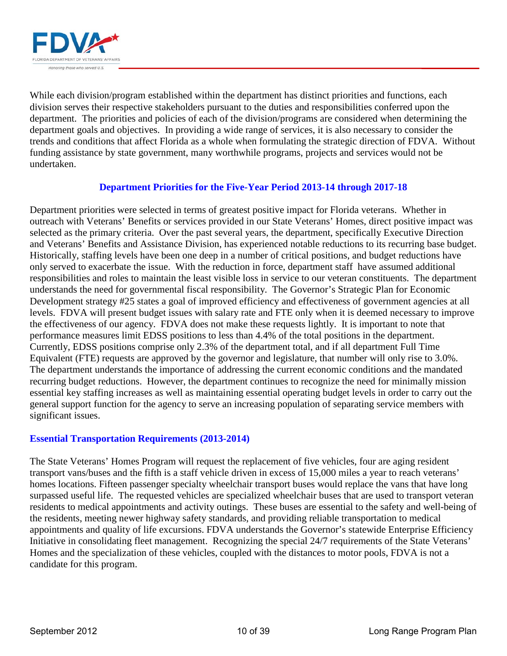

While each division/program established within the department has distinct priorities and functions, each division serves their respective stakeholders pursuant to the duties and responsibilities conferred upon the department. The priorities and policies of each of the division/programs are considered when determining the department goals and objectives. In providing a wide range of services, it is also necessary to consider the trends and conditions that affect Florida as a whole when formulating the strategic direction of FDVA. Without funding assistance by state government, many worthwhile programs, projects and services would not be undertaken.

#### **Department Priorities for the Five-Year Period 2013-14 through 2017-18**

Department priorities were selected in terms of greatest positive impact for Florida veterans. Whether in outreach with Veterans' Benefits or services provided in our State Veterans' Homes, direct positive impact was selected as the primary criteria. Over the past several years, the department, specifically Executive Direction and Veterans' Benefits and Assistance Division, has experienced notable reductions to its recurring base budget. Historically, staffing levels have been one deep in a number of critical positions, and budget reductions have only served to exacerbate the issue. With the reduction in force, department staff have assumed additional responsibilities and roles to maintain the least visible loss in service to our veteran constituents. The department understands the need for governmental fiscal responsibility. The Governor's Strategic Plan for Economic Development strategy #25 states a goal of improved efficiency and effectiveness of government agencies at all levels. FDVA will present budget issues with salary rate and FTE only when it is deemed necessary to improve the effectiveness of our agency. FDVA does not make these requests lightly. It is important to note that performance measures limit EDSS positions to less than 4.4% of the total positions in the department. Currently, EDSS positions comprise only 2.3% of the department total, and if all department Full Time Equivalent (FTE) requests are approved by the governor and legislature, that number will only rise to 3.0%. The department understands the importance of addressing the current economic conditions and the mandated recurring budget reductions. However, the department continues to recognize the need for minimally mission essential key staffing increases as well as maintaining essential operating budget levels in order to carry out the general support function for the agency to serve an increasing population of separating service members with significant issues.

#### **Essential Transportation Requirements (2013-2014)**

The State Veterans' Homes Program will request the replacement of five vehicles, four are aging resident transport vans/buses and the fifth is a staff vehicle driven in excess of 15,000 miles a year to reach veterans' homes locations. Fifteen passenger specialty wheelchair transport buses would replace the vans that have long surpassed useful life. The requested vehicles are specialized wheelchair buses that are used to transport veteran residents to medical appointments and activity outings. These buses are essential to the safety and well-being of the residents, meeting newer highway safety standards, and providing reliable transportation to medical appointments and quality of life excursions. FDVA understands the Governor's statewide Enterprise Efficiency Initiative in consolidating fleet management. Recognizing the special 24/7 requirements of the State Veterans' Homes and the specialization of these vehicles, coupled with the distances to motor pools, FDVA is not a candidate for this program.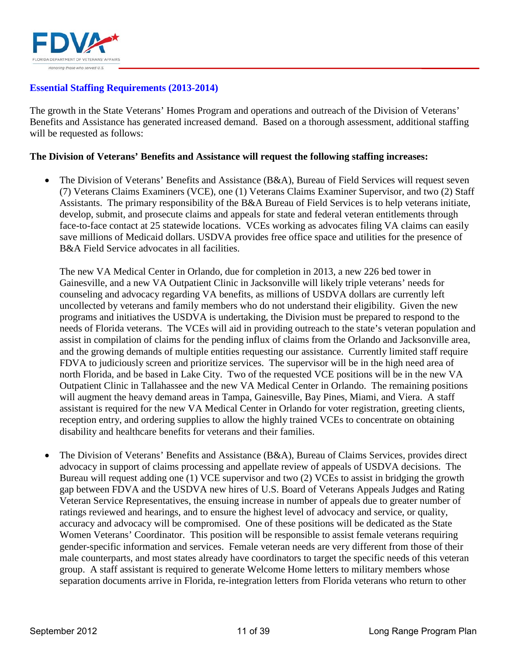

#### **Essential Staffing Requirements (2013-2014)**

The growth in the State Veterans' Homes Program and operations and outreach of the Division of Veterans' Benefits and Assistance has generated increased demand. Based on a thorough assessment, additional staffing will be requested as follows:

#### **The Division of Veterans' Benefits and Assistance will request the following staffing increases:**

• The Division of Veterans' Benefits and Assistance (B&A), Bureau of Field Services will request seven (7) Veterans Claims Examiners (VCE), one (1) Veterans Claims Examiner Supervisor, and two (2) Staff Assistants. The primary responsibility of the B&A Bureau of Field Services is to help veterans initiate, develop, submit, and prosecute claims and appeals for state and federal veteran entitlements through face-to-face contact at 25 statewide locations. VCEs working as advocates filing VA claims can easily save millions of Medicaid dollars. USDVA provides free office space and utilities for the presence of B&A Field Service advocates in all facilities.

The new VA Medical Center in Orlando, due for completion in 2013, a new 226 bed tower in Gainesville, and a new VA Outpatient Clinic in Jacksonville will likely triple veterans' needs for counseling and advocacy regarding VA benefits, as millions of USDVA dollars are currently left uncollected by veterans and family members who do not understand their eligibility. Given the new programs and initiatives the USDVA is undertaking, the Division must be prepared to respond to the needs of Florida veterans. The VCEs will aid in providing outreach to the state's veteran population and assist in compilation of claims for the pending influx of claims from the Orlando and Jacksonville area, and the growing demands of multiple entities requesting our assistance. Currently limited staff require FDVA to judiciously screen and prioritize services. The supervisor will be in the high need area of north Florida, and be based in Lake City. Two of the requested VCE positions will be in the new VA Outpatient Clinic in Tallahassee and the new VA Medical Center in Orlando. The remaining positions will augment the heavy demand areas in Tampa, Gainesville, Bay Pines, Miami, and Viera. A staff assistant is required for the new VA Medical Center in Orlando for voter registration, greeting clients, reception entry, and ordering supplies to allow the highly trained VCEs to concentrate on obtaining disability and healthcare benefits for veterans and their families.

• The Division of Veterans' Benefits and Assistance (B&A), Bureau of Claims Services, provides direct advocacy in support of claims processing and appellate review of appeals of USDVA decisions. The Bureau will request adding one (1) VCE supervisor and two (2) VCEs to assist in bridging the growth gap between FDVA and the USDVA new hires of U.S. Board of Veterans Appeals Judges and Rating Veteran Service Representatives, the ensuing increase in number of appeals due to greater number of ratings reviewed and hearings, and to ensure the highest level of advocacy and service, or quality, accuracy and advocacy will be compromised. One of these positions will be dedicated as the State Women Veterans' Coordinator. This position will be responsible to assist female veterans requiring gender-specific information and services. Female veteran needs are very different from those of their male counterparts, and most states already have coordinators to target the specific needs of this veteran group. A staff assistant is required to generate Welcome Home letters to military members whose separation documents arrive in Florida, re-integration letters from Florida veterans who return to other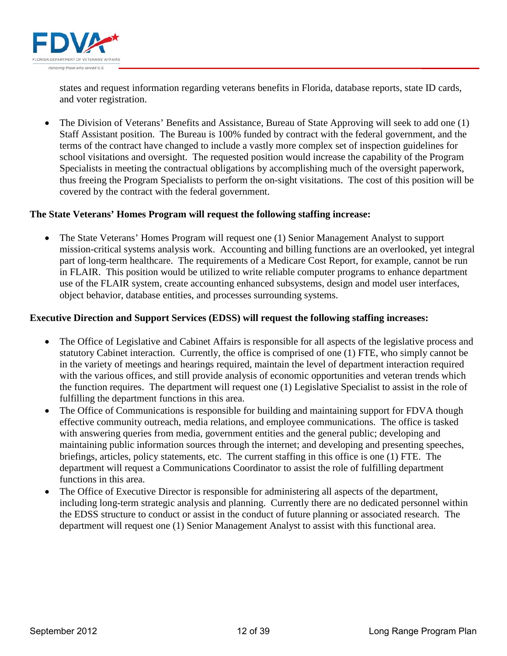

states and request information regarding veterans benefits in Florida, database reports, state ID cards, and voter registration.

• The Division of Veterans' Benefits and Assistance, Bureau of State Approving will seek to add one (1) Staff Assistant position. The Bureau is 100% funded by contract with the federal government, and the terms of the contract have changed to include a vastly more complex set of inspection guidelines for school visitations and oversight. The requested position would increase the capability of the Program Specialists in meeting the contractual obligations by accomplishing much of the oversight paperwork, thus freeing the Program Specialists to perform the on-sight visitations. The cost of this position will be covered by the contract with the federal government.

#### **The State Veterans' Homes Program will request the following staffing increase:**

• The State Veterans' Homes Program will request one (1) Senior Management Analyst to support mission-critical systems analysis work. Accounting and billing functions are an overlooked, yet integral part of long-term healthcare. The requirements of a Medicare Cost Report, for example, cannot be run in FLAIR. This position would be utilized to write reliable computer programs to enhance department use of the FLAIR system, create accounting enhanced subsystems, design and model user interfaces, object behavior, database entities, and processes surrounding systems.

#### **Executive Direction and Support Services (EDSS) will request the following staffing increases:**

- The Office of Legislative and Cabinet Affairs is responsible for all aspects of the legislative process and statutory Cabinet interaction. Currently, the office is comprised of one (1) FTE, who simply cannot be in the variety of meetings and hearings required, maintain the level of department interaction required with the various offices, and still provide analysis of economic opportunities and veteran trends which the function requires. The department will request one (1) Legislative Specialist to assist in the role of fulfilling the department functions in this area.
- The Office of Communications is responsible for building and maintaining support for FDVA though effective community outreach, media relations, and employee communications. The office is tasked with answering queries from media, government entities and the general public; developing and maintaining public information sources through the internet; and developing and presenting speeches, briefings, articles, policy statements, etc. The current staffing in this office is one (1) FTE. The department will request a Communications Coordinator to assist the role of fulfilling department functions in this area.
- The Office of Executive Director is responsible for administering all aspects of the department, including long-term strategic analysis and planning. Currently there are no dedicated personnel within the EDSS structure to conduct or assist in the conduct of future planning or associated research. The department will request one (1) Senior Management Analyst to assist with this functional area.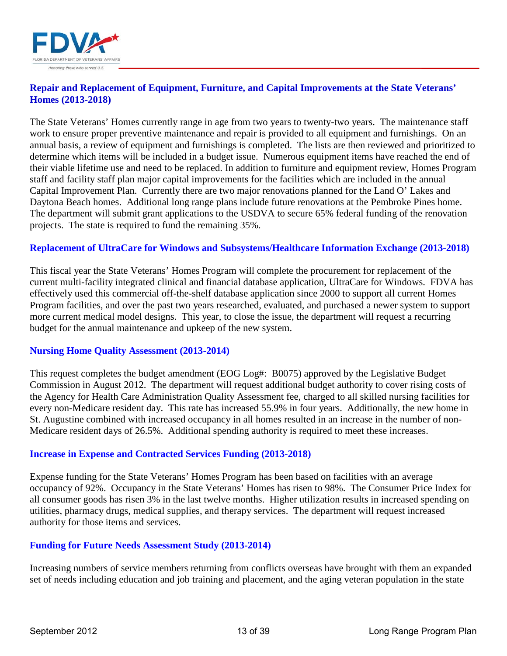

#### **Repair and Replacement of Equipment, Furniture, and Capital Improvements at the State Veterans' Homes (2013-2018)**

The State Veterans' Homes currently range in age from two years to twenty-two years. The maintenance staff work to ensure proper preventive maintenance and repair is provided to all equipment and furnishings. On an annual basis, a review of equipment and furnishings is completed. The lists are then reviewed and prioritized to determine which items will be included in a budget issue. Numerous equipment items have reached the end of their viable lifetime use and need to be replaced. In addition to furniture and equipment review, Homes Program staff and facility staff plan major capital improvements for the facilities which are included in the annual Capital Improvement Plan. Currently there are two major renovations planned for the Land O' Lakes and Daytona Beach homes. Additional long range plans include future renovations at the Pembroke Pines home. The department will submit grant applications to the USDVA to secure 65% federal funding of the renovation projects. The state is required to fund the remaining 35%.

#### **Replacement of UltraCare for Windows and Subsystems/Healthcare Information Exchange (2013-2018)**

This fiscal year the State Veterans' Homes Program will complete the procurement for replacement of the current multi-facility integrated clinical and financial database application, UltraCare for Windows. FDVA has effectively used this commercial off-the-shelf database application since 2000 to support all current Homes Program facilities, and over the past two years researched, evaluated, and purchased a newer system to support more current medical model designs. This year, to close the issue, the department will request a recurring budget for the annual maintenance and upkeep of the new system.

#### **Nursing Home Quality Assessment (2013-2014)**

This request completes the budget amendment (EOG Log#: B0075) approved by the Legislative Budget Commission in August 2012. The department will request additional budget authority to cover rising costs of the Agency for Health Care Administration Quality Assessment fee, charged to all skilled nursing facilities for every non-Medicare resident day. This rate has increased 55.9% in four years. Additionally, the new home in St. Augustine combined with increased occupancy in all homes resulted in an increase in the number of non-Medicare resident days of 26.5%. Additional spending authority is required to meet these increases.

#### **Increase in Expense and Contracted Services Funding (2013-2018)**

Expense funding for the State Veterans' Homes Program has been based on facilities with an average occupancy of 92%. Occupancy in the State Veterans' Homes has risen to 98%. The Consumer Price Index for all consumer goods has risen 3% in the last twelve months. Higher utilization results in increased spending on utilities, pharmacy drugs, medical supplies, and therapy services. The department will request increased authority for those items and services.

#### **Funding for Future Needs Assessment Study (2013-2014)**

Increasing numbers of service members returning from conflicts overseas have brought with them an expanded set of needs including education and job training and placement, and the aging veteran population in the state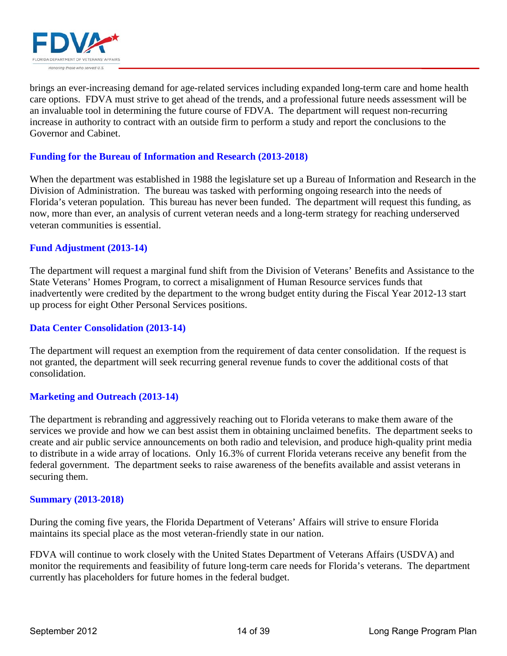

brings an ever-increasing demand for age-related services including expanded long-term care and home health care options. FDVA must strive to get ahead of the trends, and a professional future needs assessment will be an invaluable tool in determining the future course of FDVA. The department will request non-recurring increase in authority to contract with an outside firm to perform a study and report the conclusions to the Governor and Cabinet.

#### **Funding for the Bureau of Information and Research (2013-2018)**

When the department was established in 1988 the legislature set up a Bureau of Information and Research in the Division of Administration. The bureau was tasked with performing ongoing research into the needs of Florida's veteran population. This bureau has never been funded. The department will request this funding, as now, more than ever, an analysis of current veteran needs and a long-term strategy for reaching underserved veteran communities is essential.

#### **Fund Adjustment (2013-14)**

The department will request a marginal fund shift from the Division of Veterans' Benefits and Assistance to the State Veterans' Homes Program, to correct a misalignment of Human Resource services funds that inadvertently were credited by the department to the wrong budget entity during the Fiscal Year 2012-13 start up process for eight Other Personal Services positions.

#### **Data Center Consolidation (2013-14)**

The department will request an exemption from the requirement of data center consolidation. If the request is not granted, the department will seek recurring general revenue funds to cover the additional costs of that consolidation.

#### **Marketing and Outreach (2013-14)**

The department is rebranding and aggressively reaching out to Florida veterans to make them aware of the services we provide and how we can best assist them in obtaining unclaimed benefits. The department seeks to create and air public service announcements on both radio and television, and produce high-quality print media to distribute in a wide array of locations. Only 16.3% of current Florida veterans receive any benefit from the federal government. The department seeks to raise awareness of the benefits available and assist veterans in securing them.

#### **Summary (2013-2018)**

During the coming five years, the Florida Department of Veterans' Affairs will strive to ensure Florida maintains its special place as the most veteran-friendly state in our nation.

FDVA will continue to work closely with the United States Department of Veterans Affairs (USDVA) and monitor the requirements and feasibility of future long-term care needs for Florida's veterans. The department currently has placeholders for future homes in the federal budget.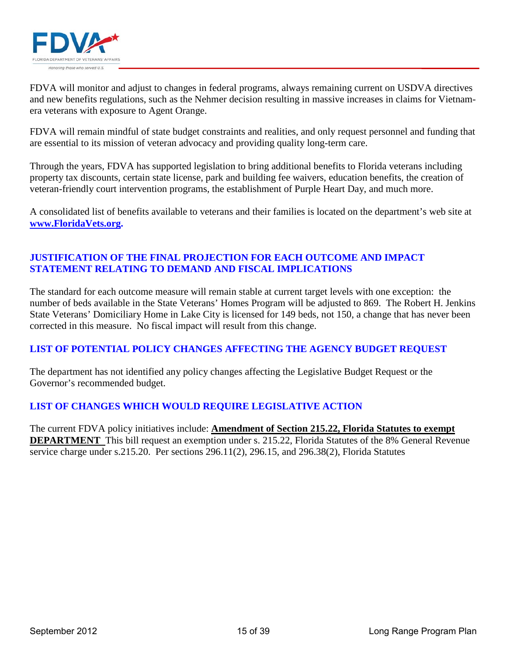

FDVA will monitor and adjust to changes in federal programs, always remaining current on USDVA directives and new benefits regulations, such as the Nehmer decision resulting in massive increases in claims for Vietnamera veterans with exposure to Agent Orange.

FDVA will remain mindful of state budget constraints and realities, and only request personnel and funding that are essential to its mission of veteran advocacy and providing quality long-term care.

Through the years, FDVA has supported legislation to bring additional benefits to Florida veterans including property tax discounts, certain state license, park and building fee waivers, education benefits, the creation of veteran-friendly court intervention programs, the establishment of Purple Heart Day, and much more.

A consolidated list of benefits available to veterans and their families is located on the department's web site at **[www.FloridaVets.org.](http://www.floridavets.org/)** 

#### **JUSTIFICATION OF THE FINAL PROJECTION FOR EACH OUTCOME AND IMPACT STATEMENT RELATING TO DEMAND AND FISCAL IMPLICATIONS**

The standard for each outcome measure will remain stable at current target levels with one exception: the number of beds available in the State Veterans' Homes Program will be adjusted to 869. The Robert H. Jenkins State Veterans' Domiciliary Home in Lake City is licensed for 149 beds, not 150, a change that has never been corrected in this measure. No fiscal impact will result from this change.

### **LIST OF POTENTIAL POLICY CHANGES AFFECTING THE AGENCY BUDGET REQUEST**

The department has not identified any policy changes affecting the Legislative Budget Request or the Governor's recommended budget.

#### **LIST OF CHANGES WHICH WOULD REQUIRE LEGISLATIVE ACTION**

The current FDVA policy initiatives include: **Amendment of Section 215.22, Florida Statutes to exempt DEPARTMENT** This bill request an exemption under s. 215.22, Florida Statutes of the 8% General Revenue service charge under s.215.20. Per sections 296.11(2), 296.15, and 296.38(2), Florida Statutes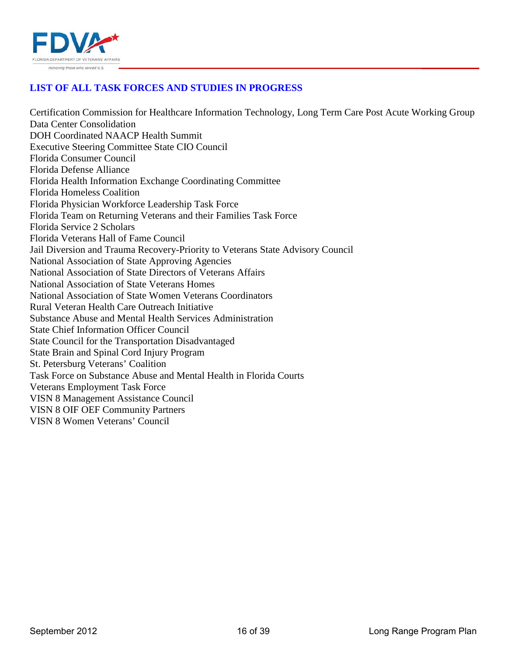

#### **LIST OF ALL TASK FORCES AND STUDIES IN PROGRESS**

Certification Commission for Healthcare Information Technology, Long Term Care Post Acute Working Group Data Center Consolidation DOH Coordinated NAACP Health Summit Executive Steering Committee State CIO Council Florida Consumer Council Florida Defense Alliance Florida Health Information Exchange Coordinating Committee Florida Homeless Coalition Florida Physician Workforce Leadership Task Force Florida Team on Returning Veterans and their Families Task Force Florida Service 2 Scholars Florida Veterans Hall of Fame Council Jail Diversion and Trauma Recovery-Priority to Veterans State Advisory Council National Association of State Approving Agencies National Association of State Directors of Veterans Affairs National Association of State Veterans Homes National Association of State Women Veterans Coordinators Rural Veteran Health Care Outreach Initiative Substance Abuse and Mental Health Services Administration State Chief Information Officer Council State Council for the Transportation Disadvantaged State Brain and Spinal Cord Injury Program St. Petersburg Veterans' Coalition Task Force on Substance Abuse and Mental Health in Florida Courts Veterans Employment Task Force VISN 8 Management Assistance Council VISN 8 OIF OEF Community Partners VISN 8 Women Veterans' Council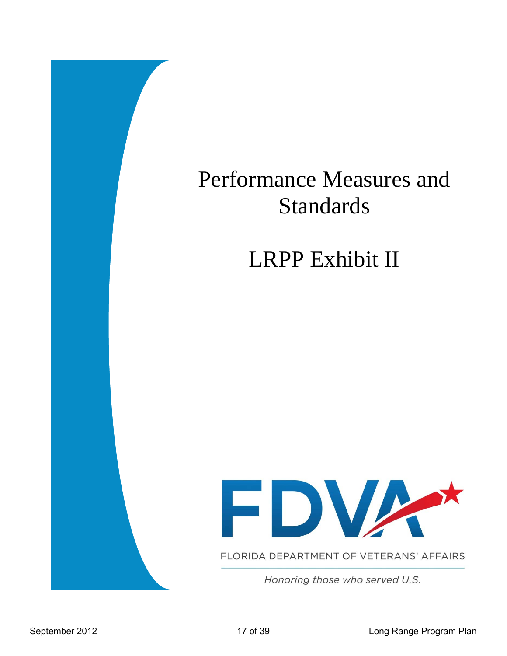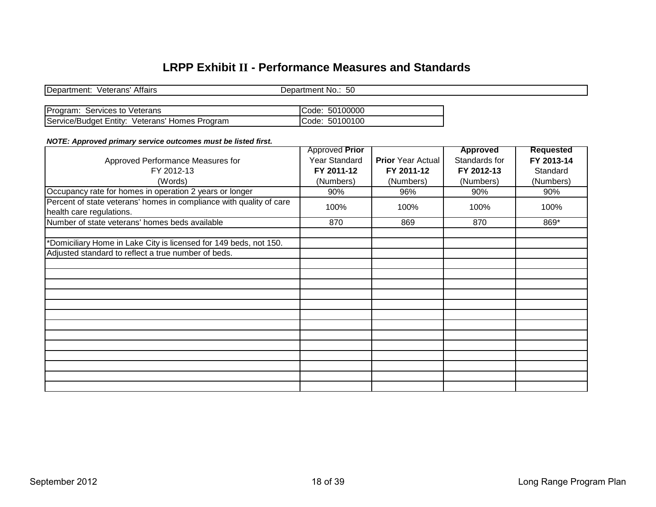# **LRPP Exhibit II - Performance Measures and Standards**

| Department: Veterans' Affairs                  | Department No.: 50 |  |
|------------------------------------------------|--------------------|--|
|                                                |                    |  |
| <b>Program: Services to Veterans</b>           | ICode: 50100000    |  |
| Service/Budget Entity: Veterans' Homes Program | Code: 50100100     |  |

#### *NOTE: Approved primary service outcomes must be listed first.*

|                                                                     | <b>Approved Prior</b> |                          | <b>Approved</b> | <b>Requested</b> |
|---------------------------------------------------------------------|-----------------------|--------------------------|-----------------|------------------|
| Approved Performance Measures for                                   | <b>Year Standard</b>  | <b>Prior</b> Year Actual | Standards for   | FY 2013-14       |
| FY 2012-13                                                          | FY 2011-12            | FY 2011-12               | FY 2012-13      | Standard         |
| (Words)                                                             | (Numbers)             | (Numbers)                | (Numbers)       | (Numbers)        |
| Occupancy rate for homes in operation 2 years or longer             | 90%                   | 96%                      | 90%             | 90%              |
| Percent of state veterans' homes in compliance with quality of care |                       |                          |                 |                  |
| health care regulations.                                            | 100%                  | 100%                     | 100%            | 100%             |
| Number of state veterans' homes beds available                      | 870                   | 869                      | 870             | 869*             |
|                                                                     |                       |                          |                 |                  |
| *Domiciliary Home in Lake City is licensed for 149 beds, not 150.   |                       |                          |                 |                  |
| Adjusted standard to reflect a true number of beds.                 |                       |                          |                 |                  |
|                                                                     |                       |                          |                 |                  |
|                                                                     |                       |                          |                 |                  |
|                                                                     |                       |                          |                 |                  |
|                                                                     |                       |                          |                 |                  |
|                                                                     |                       |                          |                 |                  |
|                                                                     |                       |                          |                 |                  |
|                                                                     |                       |                          |                 |                  |
|                                                                     |                       |                          |                 |                  |
|                                                                     |                       |                          |                 |                  |
|                                                                     |                       |                          |                 |                  |
|                                                                     |                       |                          |                 |                  |
|                                                                     |                       |                          |                 |                  |
|                                                                     |                       |                          |                 |                  |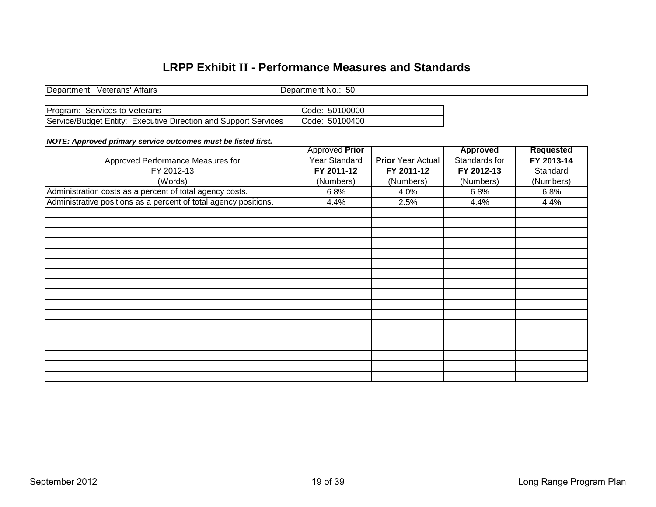# **LRPP Exhibit II - Performance Measures and Standards**

| Department: Veterans' Affairs                                   | Department No.: 50 |
|-----------------------------------------------------------------|--------------------|
|                                                                 |                    |
| <b>Program: Services to Veterans</b>                            | Code: 50100000     |
| Service/Budget Entity: Executive Direction and Support Services | Code: 50100400     |

#### *NOTE: Approved primary service outcomes must be listed first.*

|                                                                  | <b>Approved Prior</b> |                          | <b>Approved</b> | <b>Requested</b> |
|------------------------------------------------------------------|-----------------------|--------------------------|-----------------|------------------|
| Approved Performance Measures for                                | <b>Year Standard</b>  | <b>Prior</b> Year Actual | Standards for   | FY 2013-14       |
| FY 2012-13                                                       | FY 2011-12            | FY 2011-12               | FY 2012-13      | Standard         |
| (Words)                                                          | (Numbers)             | (Numbers)                | (Numbers)       | (Numbers)        |
| Administration costs as a percent of total agency costs.         | 6.8%                  | 4.0%                     | 6.8%            | 6.8%             |
| Administrative positions as a percent of total agency positions. | 4.4%                  | 2.5%                     | 4.4%            | 4.4%             |
|                                                                  |                       |                          |                 |                  |
|                                                                  |                       |                          |                 |                  |
|                                                                  |                       |                          |                 |                  |
|                                                                  |                       |                          |                 |                  |
|                                                                  |                       |                          |                 |                  |
|                                                                  |                       |                          |                 |                  |
|                                                                  |                       |                          |                 |                  |
|                                                                  |                       |                          |                 |                  |
|                                                                  |                       |                          |                 |                  |
|                                                                  |                       |                          |                 |                  |
|                                                                  |                       |                          |                 |                  |
|                                                                  |                       |                          |                 |                  |
|                                                                  |                       |                          |                 |                  |
|                                                                  |                       |                          |                 |                  |
|                                                                  |                       |                          |                 |                  |
|                                                                  |                       |                          |                 |                  |
|                                                                  |                       |                          |                 |                  |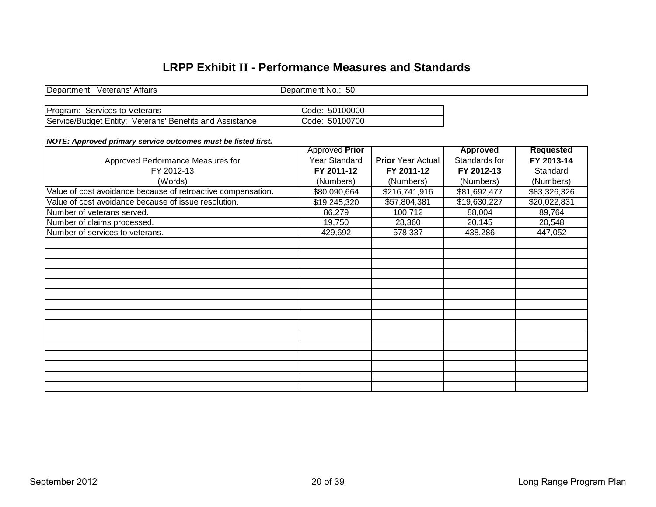# **LRPP Exhibit II - Performance Measures and Standards**

| Department: Veterans' Affairs                            | Department No.: 50 |  |
|----------------------------------------------------------|--------------------|--|
| <b>Program: Services to Veterans</b>                     | Code: 50100000     |  |
| Service/Budget Entity: Veterans' Benefits and Assistance | Code: 50100700     |  |

#### *NOTE: Approved primary service outcomes must be listed first.*

|                                                              | Approved Prior       |                          | <b>Approved</b> | <b>Requested</b> |
|--------------------------------------------------------------|----------------------|--------------------------|-----------------|------------------|
| Approved Performance Measures for                            | <b>Year Standard</b> | <b>Prior</b> Year Actual | Standards for   | FY 2013-14       |
| FY 2012-13                                                   | FY 2011-12           | FY 2011-12               | FY 2012-13      | Standard         |
| (Words)                                                      | (Numbers)            | (Numbers)                | (Numbers)       | (Numbers)        |
| Value of cost avoidance because of retroactive compensation. | \$80,090,664         | \$216,741,916            | \$81,692,477    | \$83,326,326     |
| Value of cost avoidance because of issue resolution.         | \$19,245,320         | \$57,804,381             | \$19,630,227    | \$20,022,831     |
| Number of veterans served.                                   | 86,279               | 100,712                  | 88,004          | 89,764           |
| Number of claims processed.                                  | 19,750               | 28,360                   | 20,145          | 20,548           |
| Number of services to veterans.                              | 429,692              | 578,337                  | 438,286         | 447,052          |
|                                                              |                      |                          |                 |                  |
|                                                              |                      |                          |                 |                  |
|                                                              |                      |                          |                 |                  |
|                                                              |                      |                          |                 |                  |
|                                                              |                      |                          |                 |                  |
|                                                              |                      |                          |                 |                  |
|                                                              |                      |                          |                 |                  |
|                                                              |                      |                          |                 |                  |
|                                                              |                      |                          |                 |                  |
|                                                              |                      |                          |                 |                  |
|                                                              |                      |                          |                 |                  |
|                                                              |                      |                          |                 |                  |
|                                                              |                      |                          |                 |                  |
|                                                              |                      |                          |                 |                  |
|                                                              |                      |                          |                 |                  |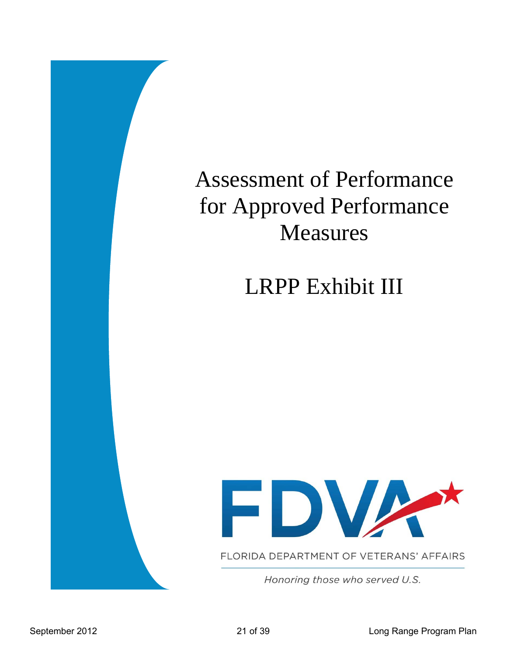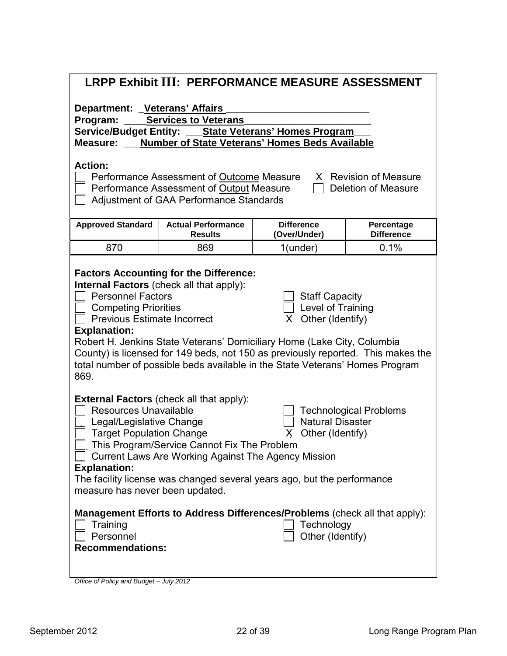|                                                                                                                                                                                                                                                                                                                                                                                                                                                                                                                                                        |                                             | LRPP Exhibit III: PERFORMANCE MEASURE ASSESSMENT                                                             |                                 |
|--------------------------------------------------------------------------------------------------------------------------------------------------------------------------------------------------------------------------------------------------------------------------------------------------------------------------------------------------------------------------------------------------------------------------------------------------------------------------------------------------------------------------------------------------------|---------------------------------------------|--------------------------------------------------------------------------------------------------------------|---------------------------------|
| Department: Veterans' Affairs<br><b>Services to Veterans</b><br>Program:<br>Service/Budget Entity: __ State Veterans' Homes Program<br><b>Measure:</b><br><b>Number of State Veterans' Homes Beds Available</b><br><b>Action:</b><br><b>Revision of Measure</b><br>Performance Assessment of Outcome Measure<br>X.<br>Performance Assessment of Output Measure<br>Deletion of Measure<br>Adjustment of GAA Performance Standards                                                                                                                       |                                             |                                                                                                              |                                 |
| <b>Approved Standard</b>                                                                                                                                                                                                                                                                                                                                                                                                                                                                                                                               | <b>Actual Performance</b><br><b>Results</b> | <b>Difference</b><br>(Over/Under)                                                                            | Percentage<br><b>Difference</b> |
| 870                                                                                                                                                                                                                                                                                                                                                                                                                                                                                                                                                    | 869                                         | $1$ (under)                                                                                                  | 0.1%                            |
| <b>Factors Accounting for the Difference:</b><br><b>Internal Factors</b> (check all that apply):<br><b>Personnel Factors</b><br><b>Staff Capacity</b><br>Level of Training<br><b>Competing Priorities</b><br><b>Previous Estimate Incorrect</b><br>Other (Identify)<br>X<br><b>Explanation:</b><br>Robert H. Jenkins State Veterans' Domiciliary Home (Lake City, Columbia<br>County) is licensed for 149 beds, not 150 as previously reported. This makes the<br>total number of possible beds available in the State Veterans' Homes Program<br>869. |                                             |                                                                                                              |                                 |
| <b>External Factors (check all that apply):</b><br><b>Resources Unavailable</b><br><b>Technological Problems</b><br><b>Natural Disaster</b><br>Legal/Legislative Change<br><b>Target Population Change</b><br>Other (Identify)<br>X.<br>This Program/Service Cannot Fix The Problem<br><b>Current Laws Are Working Against The Agency Mission</b><br><b>Explanation:</b><br>The facility license was changed several years ago, but the performance<br>measure has never been updated.                                                                 |                                             |                                                                                                              |                                 |
| Training<br>Personnel<br><b>Recommendations:</b>                                                                                                                                                                                                                                                                                                                                                                                                                                                                                                       |                                             | Management Efforts to Address Differences/Problems (check all that apply):<br>Technology<br>Other (Identify) |                                 |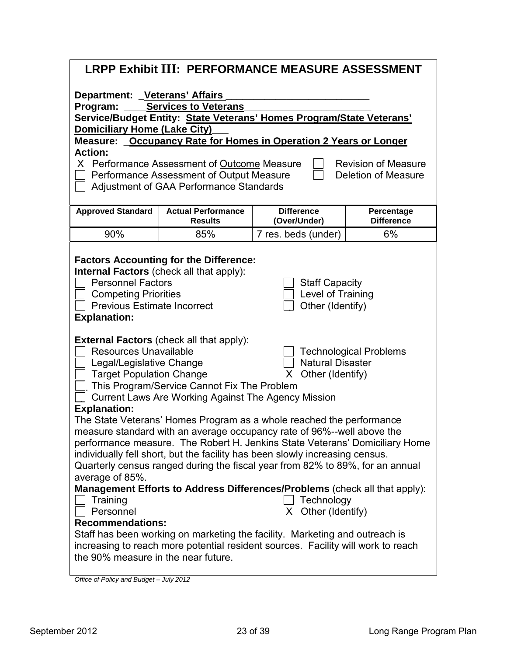| LRPP Exhibit III: PERFORMANCE MEASURE ASSESSMENT                                                                                                                                                                                                                                       |                                                                                                                                                              |                                                                                                                                                                                                                                                                                                                                                                                                                                                                                                                                                                                                                                     |                                 |
|----------------------------------------------------------------------------------------------------------------------------------------------------------------------------------------------------------------------------------------------------------------------------------------|--------------------------------------------------------------------------------------------------------------------------------------------------------------|-------------------------------------------------------------------------------------------------------------------------------------------------------------------------------------------------------------------------------------------------------------------------------------------------------------------------------------------------------------------------------------------------------------------------------------------------------------------------------------------------------------------------------------------------------------------------------------------------------------------------------------|---------------------------------|
| <b>Department: _Veterans' Affairs</b>                                                                                                                                                                                                                                                  |                                                                                                                                                              |                                                                                                                                                                                                                                                                                                                                                                                                                                                                                                                                                                                                                                     |                                 |
| Program:                                                                                                                                                                                                                                                                               | <b>Services to Veterans</b>                                                                                                                                  |                                                                                                                                                                                                                                                                                                                                                                                                                                                                                                                                                                                                                                     |                                 |
|                                                                                                                                                                                                                                                                                        |                                                                                                                                                              | Service/Budget Entity: State Veterans' Homes Program/State Veterans'                                                                                                                                                                                                                                                                                                                                                                                                                                                                                                                                                                |                                 |
| <b>Domiciliary Home (Lake City)</b>                                                                                                                                                                                                                                                    |                                                                                                                                                              | Measure: _ Occupancy Rate for Homes in Operation 2 Years or Longer                                                                                                                                                                                                                                                                                                                                                                                                                                                                                                                                                                  |                                 |
| <b>Action:</b>                                                                                                                                                                                                                                                                         |                                                                                                                                                              |                                                                                                                                                                                                                                                                                                                                                                                                                                                                                                                                                                                                                                     |                                 |
|                                                                                                                                                                                                                                                                                        | X Performance Assessment of Outcome Measure                                                                                                                  |                                                                                                                                                                                                                                                                                                                                                                                                                                                                                                                                                                                                                                     | <b>Revision of Measure</b>      |
|                                                                                                                                                                                                                                                                                        | Performance Assessment of Output Measure<br>Adjustment of GAA Performance Standards                                                                          |                                                                                                                                                                                                                                                                                                                                                                                                                                                                                                                                                                                                                                     | Deletion of Measure             |
|                                                                                                                                                                                                                                                                                        |                                                                                                                                                              |                                                                                                                                                                                                                                                                                                                                                                                                                                                                                                                                                                                                                                     |                                 |
| <b>Approved Standard</b>                                                                                                                                                                                                                                                               | <b>Actual Performance</b><br><b>Results</b>                                                                                                                  | <b>Difference</b><br>(Over/Under)                                                                                                                                                                                                                                                                                                                                                                                                                                                                                                                                                                                                   | Percentage<br><b>Difference</b> |
| 90%                                                                                                                                                                                                                                                                                    | 85%                                                                                                                                                          | 7 res. beds (under)                                                                                                                                                                                                                                                                                                                                                                                                                                                                                                                                                                                                                 | 6%                              |
| <b>Personnel Factors</b><br><b>Competing Priorities</b><br><b>Previous Estimate Incorrect</b><br><b>Explanation:</b><br><b>Resources Unavailable</b><br>Legal/Legislative Change<br><b>Target Population Change</b><br><b>Explanation:</b><br>average of 85%.<br>Training<br>Personnel | <b>External Factors (check all that apply):</b><br>This Program/Service Cannot Fix The Problem<br><b>Current Laws Are Working Against The Agency Mission</b> | <b>Staff Capacity</b><br>Level of Training<br>Other (Identify)<br><b>Natural Disaster</b><br>X Other (Identify)<br>The State Veterans' Homes Program as a whole reached the performance<br>measure standard with an average occupancy rate of 96%--well above the<br>performance measure. The Robert H. Jenkins State Veterans' Domiciliary Home<br>individually fell short, but the facility has been slowly increasing census.<br>Quarterly census ranged during the fiscal year from 82% to 89%, for an annual<br>Management Efforts to Address Differences/Problems (check all that apply):<br>Technology<br>X Other (Identify) | <b>Technological Problems</b>   |
| <b>Recommendations:</b><br>the 90% measure in the near future.                                                                                                                                                                                                                         |                                                                                                                                                              | Staff has been working on marketing the facility. Marketing and outreach is<br>increasing to reach more potential resident sources. Facility will work to reach                                                                                                                                                                                                                                                                                                                                                                                                                                                                     |                                 |

*Office of Policy and Budget – July 2012*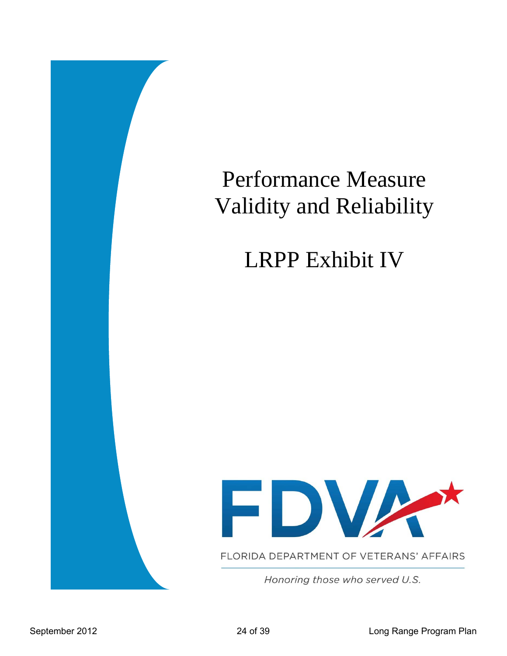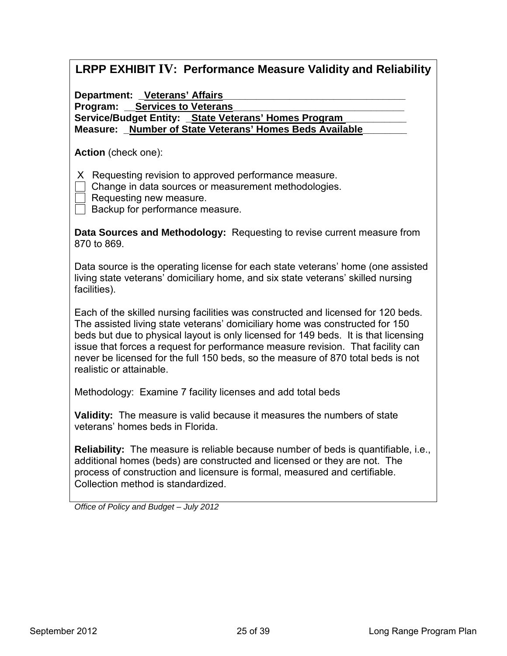| LRPP EXHIBIT IV: Performance Measure Validity and Reliability                                                                                                                                                                                                                                                                                                                                                                                               |
|-------------------------------------------------------------------------------------------------------------------------------------------------------------------------------------------------------------------------------------------------------------------------------------------------------------------------------------------------------------------------------------------------------------------------------------------------------------|
| Department: _Veterans' Affairs<br>Program: Services to Veterans<br>Service/Budget Entity: _ State Veterans' Homes Program<br>Measure: Number of State Veterans' Homes Beds Available                                                                                                                                                                                                                                                                        |
| <b>Action</b> (check one):                                                                                                                                                                                                                                                                                                                                                                                                                                  |
| Requesting revision to approved performance measure.<br>X.<br>Change in data sources or measurement methodologies.<br>Requesting new measure.<br>Backup for performance measure.                                                                                                                                                                                                                                                                            |
| Data Sources and Methodology: Requesting to revise current measure from<br>870 to 869.                                                                                                                                                                                                                                                                                                                                                                      |
| Data source is the operating license for each state veterans' home (one assisted<br>living state veterans' domiciliary home, and six state veterans' skilled nursing<br>facilities).                                                                                                                                                                                                                                                                        |
| Each of the skilled nursing facilities was constructed and licensed for 120 beds.<br>The assisted living state veterans' domiciliary home was constructed for 150<br>beds but due to physical layout is only licensed for 149 beds. It is that licensing<br>issue that forces a request for performance measure revision. That facility can<br>never be licensed for the full 150 beds, so the measure of 870 total beds is not<br>realistic or attainable. |
| Methodology: Examine 7 facility licenses and add total beds                                                                                                                                                                                                                                                                                                                                                                                                 |
| Validity: The measure is valid because it measures the numbers of state<br>veterans' homes beds in Florida.                                                                                                                                                                                                                                                                                                                                                 |
| <b>Reliability:</b> The measure is reliable because number of beds is quantifiable, i.e.,<br>additional homes (beds) are constructed and licensed or they are not. The<br>process of construction and licensure is formal, measured and certifiable.<br>Collection method is standardized.                                                                                                                                                                  |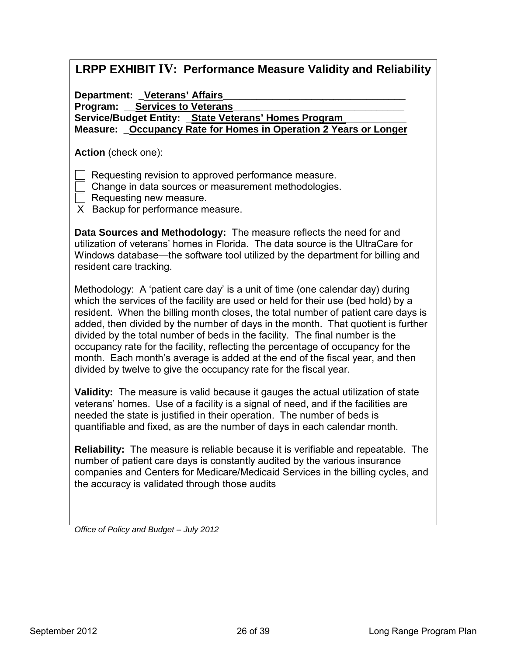| <b>LRPP EXHIBIT IV: Performance Measure Validity and Reliability</b> |  |  |  |  |
|----------------------------------------------------------------------|--|--|--|--|
|----------------------------------------------------------------------|--|--|--|--|

**Department: \_Veterans' Affairs\_\_\_\_\_\_\_\_\_\_\_\_\_\_\_\_\_\_\_\_\_\_\_\_\_\_\_\_\_\_\_\_\_**

**Program:** Services to Veterans

Service/Budget Entity: \_State Veterans' Homes Program **Measure: \_Occupancy Rate for Homes in Operation 2 Years or Longer**

**Action** (check one):

Requesting revision to approved performance measure.

- Change in data sources or measurement methodologies.
- Requesting new measure.

X Backup for performance measure.

**Data Sources and Methodology:** The measure reflects the need for and utilization of veterans' homes in Florida. The data source is the UltraCare for Windows database—the software tool utilized by the department for billing and resident care tracking.

Methodology: A 'patient care day' is a unit of time (one calendar day) during which the services of the facility are used or held for their use (bed hold) by a resident. When the billing month closes, the total number of patient care days is added, then divided by the number of days in the month. That quotient is further divided by the total number of beds in the facility. The final number is the occupancy rate for the facility, reflecting the percentage of occupancy for the month. Each month's average is added at the end of the fiscal year, and then divided by twelve to give the occupancy rate for the fiscal year.

**Validity:** The measure is valid because it gauges the actual utilization of state veterans' homes. Use of a facility is a signal of need, and if the facilities are needed the state is justified in their operation. The number of beds is quantifiable and fixed, as are the number of days in each calendar month.

**Reliability:** The measure is reliable because it is verifiable and repeatable. The number of patient care days is constantly audited by the various insurance companies and Centers for Medicare/Medicaid Services in the billing cycles, and the accuracy is validated through those audits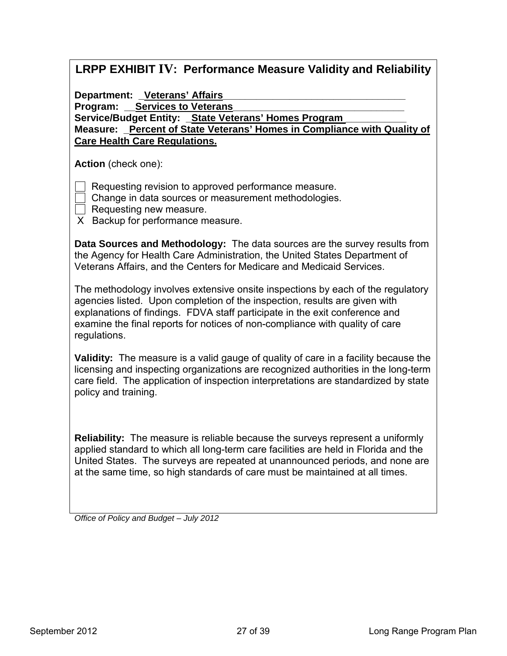| <b>LRPP EXHIBIT IV: Performance Measure Validity and Reliability</b> |  |  |  |  |
|----------------------------------------------------------------------|--|--|--|--|
|----------------------------------------------------------------------|--|--|--|--|

**Department: \_Veterans' Affairs\_\_\_\_\_\_\_\_\_\_\_\_\_\_\_\_\_\_\_\_\_\_\_\_\_\_\_\_\_\_\_\_\_**

**Program:** Services to Veterans

Service/Budget Entity: \_State Veterans' Homes Program **Measure: \_Percent of State Veterans' Homes in Compliance with Quality of Care Health Care Regulations.**

**Action** (check one):

- Requesting revision to approved performance measure.
- Change in data sources or measurement methodologies.
- $\Box$  Requesting new measure.

X Backup for performance measure.

**Data Sources and Methodology:** The data sources are the survey results from the Agency for Health Care Administration, the United States Department of Veterans Affairs, and the Centers for Medicare and Medicaid Services.

The methodology involves extensive onsite inspections by each of the regulatory agencies listed. Upon completion of the inspection, results are given with explanations of findings. FDVA staff participate in the exit conference and examine the final reports for notices of non-compliance with quality of care regulations.

**Validity:** The measure is a valid gauge of quality of care in a facility because the licensing and inspecting organizations are recognized authorities in the long-term care field. The application of inspection interpretations are standardized by state policy and training.

**Reliability:** The measure is reliable because the surveys represent a uniformly applied standard to which all long-term care facilities are held in Florida and the United States. The surveys are repeated at unannounced periods, and none are at the same time, so high standards of care must be maintained at all times.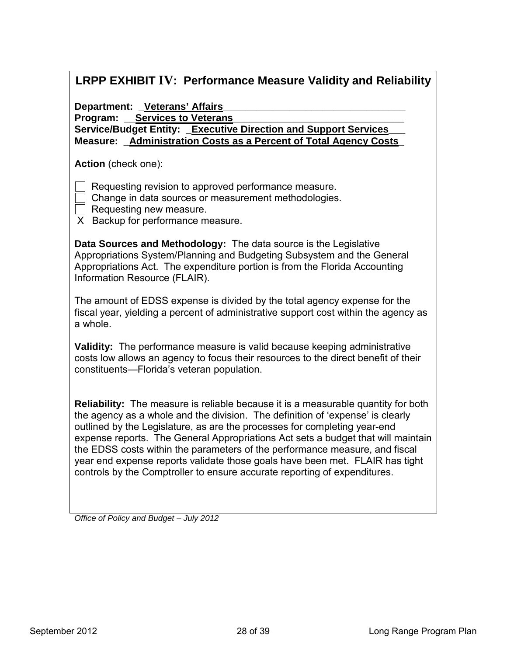# **LRPP EXHIBIT IV: Performance Measure Validity and Reliability**

**Department: \_Veterans' Affairs\_\_\_\_\_\_\_\_\_\_\_\_\_\_\_\_\_\_\_\_\_\_\_\_\_\_\_\_\_\_\_\_\_**

**Program: Services to Veterans** 

**Service/Budget Entity: \_Executive Direction and Support Services\_\_\_ Measure: \_Administration Costs as a Percent of Total Agency Costs\_** 

**Action** (check one):

Requesting revision to approved performance measure.

Change in data sources or measurement methodologies.

 $\Box$  Requesting new measure.

X Backup for performance measure.

**Data Sources and Methodology:** The data source is the Legislative Appropriations System/Planning and Budgeting Subsystem and the General Appropriations Act. The expenditure portion is from the Florida Accounting Information Resource (FLAIR).

The amount of EDSS expense is divided by the total agency expense for the fiscal year, yielding a percent of administrative support cost within the agency as a whole.

**Validity:** The performance measure is valid because keeping administrative costs low allows an agency to focus their resources to the direct benefit of their constituents—Florida's veteran population.

**Reliability:** The measure is reliable because it is a measurable quantity for both the agency as a whole and the division. The definition of 'expense' is clearly outlined by the Legislature, as are the processes for completing year-end expense reports. The General Appropriations Act sets a budget that will maintain the EDSS costs within the parameters of the performance measure, and fiscal year end expense reports validate those goals have been met. FLAIR has tight controls by the Comptroller to ensure accurate reporting of expenditures.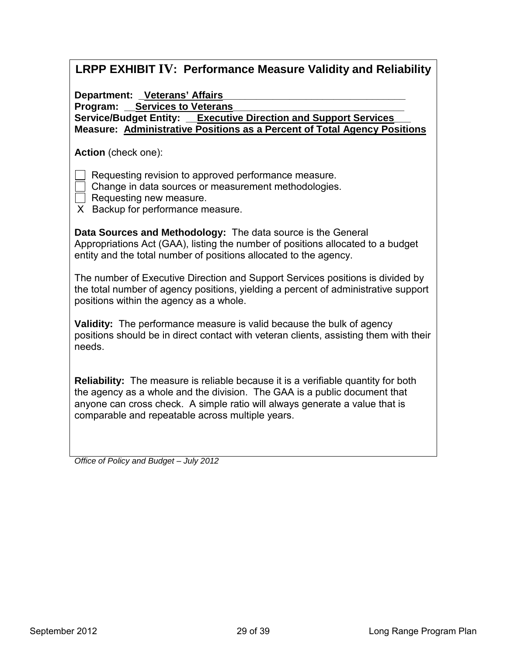| LRPP EXHIBIT IV: Performance Measure Validity and Reliability                                                                                                                                                                                                                                     |
|---------------------------------------------------------------------------------------------------------------------------------------------------------------------------------------------------------------------------------------------------------------------------------------------------|
| Department: _Veterans' Affairs<br><b>Program: Services to Veterans</b><br>Service/Budget Entity: _ Executive Direction and Support Services<br><b>Measure: Administrative Positions as a Percent of Total Agency Positions</b>                                                                    |
| <b>Action</b> (check one):                                                                                                                                                                                                                                                                        |
| Requesting revision to approved performance measure.<br>Change in data sources or measurement methodologies.<br>$\Box$ Requesting new measure.<br>X Backup for performance measure.                                                                                                               |
| Data Sources and Methodology: The data source is the General<br>Appropriations Act (GAA), listing the number of positions allocated to a budget<br>entity and the total number of positions allocated to the agency.                                                                              |
| The number of Executive Direction and Support Services positions is divided by<br>the total number of agency positions, yielding a percent of administrative support<br>positions within the agency as a whole.                                                                                   |
| <b>Validity:</b> The performance measure is valid because the bulk of agency<br>positions should be in direct contact with veteran clients, assisting them with their<br>needs.                                                                                                                   |
| Reliability: The measure is reliable because it is a verifiable quantity for both<br>the agency as a whole and the division. The GAA is a public document that<br>anyone can cross check. A simple ratio will always generate a value that is<br>comparable and repeatable across multiple years. |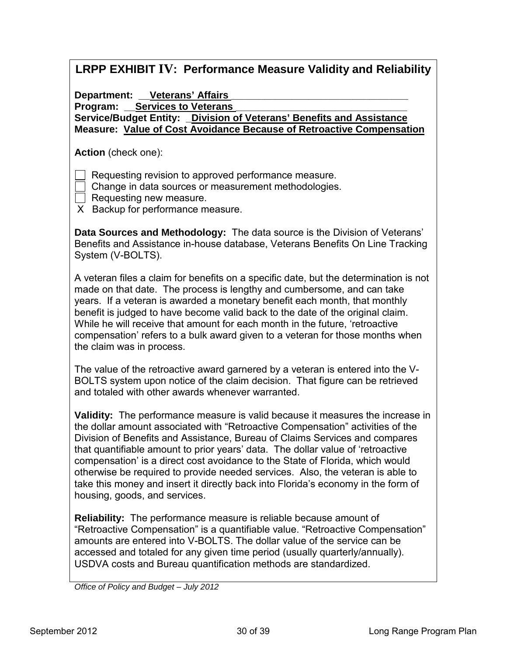Department: **Leterans' Affairs** 

**Program:** Services to Veterans

**Service/Budget Entity: \_Division of Veterans' Benefits and Assistance Measure: Value of Cost Avoidance Because of Retroactive Compensation**

**Action** (check one):

Requesting revision to approved performance measure.

Change in data sources or measurement methodologies.

Requesting new measure.

X Backup for performance measure.

**Data Sources and Methodology:** The data source is the Division of Veterans' Benefits and Assistance in-house database, Veterans Benefits On Line Tracking System (V-BOLTS).

A veteran files a claim for benefits on a specific date, but the determination is not made on that date. The process is lengthy and cumbersome, and can take years. If a veteran is awarded a monetary benefit each month, that monthly benefit is judged to have become valid back to the date of the original claim. While he will receive that amount for each month in the future, 'retroactive compensation' refers to a bulk award given to a veteran for those months when the claim was in process.

The value of the retroactive award garnered by a veteran is entered into the V-BOLTS system upon notice of the claim decision. That figure can be retrieved and totaled with other awards whenever warranted.

**Validity:** The performance measure is valid because it measures the increase in the dollar amount associated with "Retroactive Compensation" activities of the Division of Benefits and Assistance, Bureau of Claims Services and compares that quantifiable amount to prior years' data. The dollar value of 'retroactive compensation' is a direct cost avoidance to the State of Florida, which would otherwise be required to provide needed services. Also, the veteran is able to take this money and insert it directly back into Florida's economy in the form of housing, goods, and services.

**Reliability:** The performance measure is reliable because amount of "Retroactive Compensation" is a quantifiable value. "Retroactive Compensation" amounts are entered into V-BOLTS. The dollar value of the service can be accessed and totaled for any given time period (usually quarterly/annually). USDVA costs and Bureau quantification methods are standardized.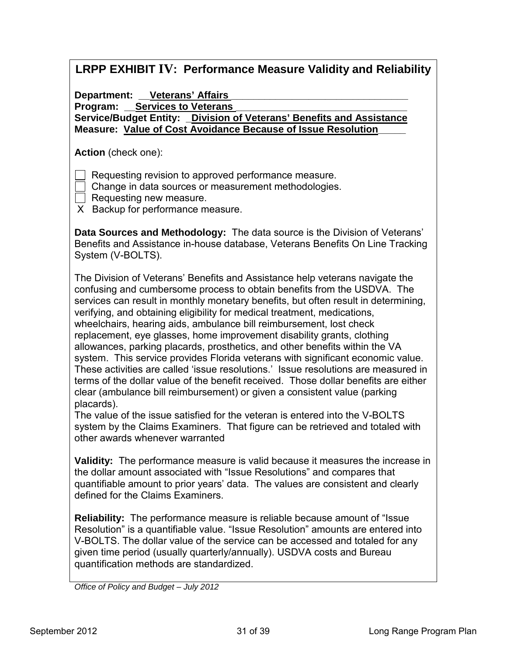| LRPP EXHIBIT IV: Performance Measure Validity and Reliability                                                                                                                                                                                                                                                                                                                                                                                                                                                                                                                                                                                                                                                                                                                                                                                                                                                                                                                                                                                                                                                            |
|--------------------------------------------------------------------------------------------------------------------------------------------------------------------------------------------------------------------------------------------------------------------------------------------------------------------------------------------------------------------------------------------------------------------------------------------------------------------------------------------------------------------------------------------------------------------------------------------------------------------------------------------------------------------------------------------------------------------------------------------------------------------------------------------------------------------------------------------------------------------------------------------------------------------------------------------------------------------------------------------------------------------------------------------------------------------------------------------------------------------------|
| Department: __Veterans' Affairs<br><b>Services to Veterans</b><br>Program:<br>Service/Budget Entity: _ Division of Veterans' Benefits and Assistance<br><b>Measure: Value of Cost Avoidance Because of Issue Resolution</b>                                                                                                                                                                                                                                                                                                                                                                                                                                                                                                                                                                                                                                                                                                                                                                                                                                                                                              |
| Action (check one):                                                                                                                                                                                                                                                                                                                                                                                                                                                                                                                                                                                                                                                                                                                                                                                                                                                                                                                                                                                                                                                                                                      |
| Requesting revision to approved performance measure.<br>Change in data sources or measurement methodologies.<br>Requesting new measure.<br>X Backup for performance measure.                                                                                                                                                                                                                                                                                                                                                                                                                                                                                                                                                                                                                                                                                                                                                                                                                                                                                                                                             |
| Data Sources and Methodology: The data source is the Division of Veterans'<br>Benefits and Assistance in-house database, Veterans Benefits On Line Tracking<br>System (V-BOLTS).                                                                                                                                                                                                                                                                                                                                                                                                                                                                                                                                                                                                                                                                                                                                                                                                                                                                                                                                         |
| The Division of Veterans' Benefits and Assistance help veterans navigate the<br>confusing and cumbersome process to obtain benefits from the USDVA. The<br>services can result in monthly monetary benefits, but often result in determining,<br>verifying, and obtaining eligibility for medical treatment, medications,<br>wheelchairs, hearing aids, ambulance bill reimbursement, lost check<br>replacement, eye glasses, home improvement disability grants, clothing<br>allowances, parking placards, prosthetics, and other benefits within the VA<br>system. This service provides Florida veterans with significant economic value.<br>These activities are called 'issue resolutions.' Issue resolutions are measured in<br>terms of the dollar value of the benefit received. Those dollar benefits are either<br>clear (ambulance bill reimbursement) or given a consistent value (parking<br>placards).<br>The value of the issue satisfied for the veteran is entered into the V-BOLTS<br>system by the Claims Examiners. That figure can be retrieved and totaled with<br>other awards whenever warranted |
| Validity: The performance measure is valid because it measures the increase in<br>the dollar amount associated with "Issue Resolutions" and compares that<br>quantifiable amount to prior years' data. The values are consistent and clearly<br>defined for the Claims Examiners.                                                                                                                                                                                                                                                                                                                                                                                                                                                                                                                                                                                                                                                                                                                                                                                                                                        |
| <b>Reliability:</b> The performance measure is reliable because amount of "Issue"<br>Resolution" is a quantifiable value. "Issue Resolution" amounts are entered into<br>V-BOLTS. The dollar value of the service can be accessed and totaled for any<br>given time period (usually quarterly/annually). USDVA costs and Bureau<br>quantification methods are standardized.                                                                                                                                                                                                                                                                                                                                                                                                                                                                                                                                                                                                                                                                                                                                              |
| Office of Policy and Budget - July 2012                                                                                                                                                                                                                                                                                                                                                                                                                                                                                                                                                                                                                                                                                                                                                                                                                                                                                                                                                                                                                                                                                  |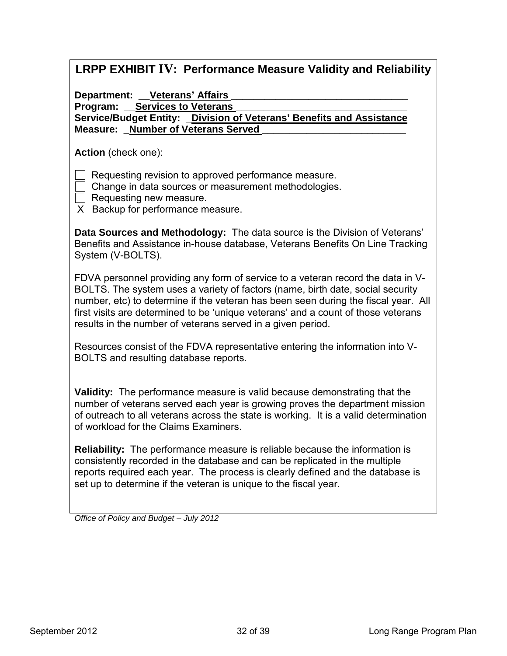| <b>LRPP EXHIBIT IV: Performance Measure Validity and Reliability</b>                                                                                                                                                                                                                                                                                                                                        |
|-------------------------------------------------------------------------------------------------------------------------------------------------------------------------------------------------------------------------------------------------------------------------------------------------------------------------------------------------------------------------------------------------------------|
| Department: __Veterans' Affairs<br><b>Program:</b> Services to Veterans<br>Service/Budget Entity: _ Division of Veterans' Benefits and Assistance<br><b>Measure: _Number of Veterans Served</b>                                                                                                                                                                                                             |
| Action (check one):                                                                                                                                                                                                                                                                                                                                                                                         |
| Requesting revision to approved performance measure.<br>Change in data sources or measurement methodologies.<br>Requesting new measure.<br>X Backup for performance measure.                                                                                                                                                                                                                                |
| Data Sources and Methodology: The data source is the Division of Veterans'<br>Benefits and Assistance in-house database, Veterans Benefits On Line Tracking<br>System (V-BOLTS).                                                                                                                                                                                                                            |
| FDVA personnel providing any form of service to a veteran record the data in V-<br>BOLTS. The system uses a variety of factors (name, birth date, social security<br>number, etc) to determine if the veteran has been seen during the fiscal year. All<br>first visits are determined to be 'unique veterans' and a count of those veterans<br>results in the number of veterans served in a given period. |
| Resources consist of the FDVA representative entering the information into V-<br>BOLTS and resulting database reports.                                                                                                                                                                                                                                                                                      |
| <b>Validity:</b> The performance measure is valid because demonstrating that the<br>number of veterans served each year is growing proves the department mission<br>of outreach to all veterans across the state is working. It is a valid determination<br>of workload for the Claims Examiners.                                                                                                           |
| <b>Reliability:</b> The performance measure is reliable because the information is<br>consistently recorded in the database and can be replicated in the multiple<br>reports required each year. The process is clearly defined and the database is<br>set up to determine if the veteran is unique to the fiscal year.                                                                                     |
| Office of Policy and Budget - July 2012                                                                                                                                                                                                                                                                                                                                                                     |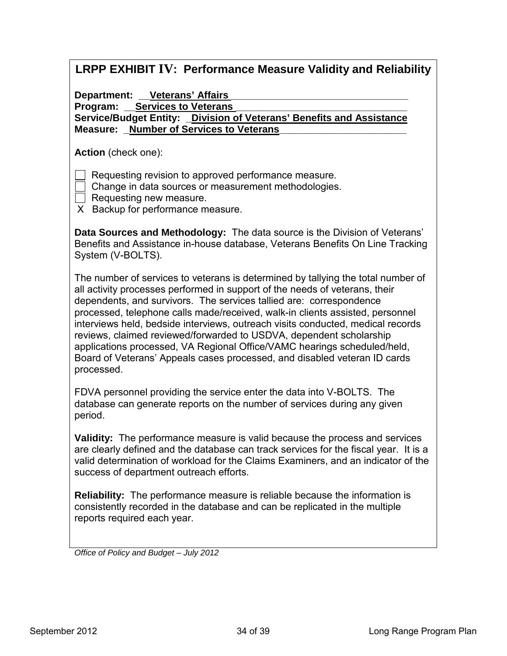| LRPP EXHIBIT IV: Performance Measure Validity and Reliability                                                                                                                                                                                                                                                                                                                                                                                                                                                                                                                                                                                            |
|----------------------------------------------------------------------------------------------------------------------------------------------------------------------------------------------------------------------------------------------------------------------------------------------------------------------------------------------------------------------------------------------------------------------------------------------------------------------------------------------------------------------------------------------------------------------------------------------------------------------------------------------------------|
| Department: Veterans' Affairs<br>Program: Services to Veterans<br>Service/Budget Entity: _Division of Veterans' Benefits and Assistance<br><b>Measure: Number of Services to Veterans</b>                                                                                                                                                                                                                                                                                                                                                                                                                                                                |
| <b>Action</b> (check one):                                                                                                                                                                                                                                                                                                                                                                                                                                                                                                                                                                                                                               |
| Requesting revision to approved performance measure.<br>Change in data sources or measurement methodologies.<br>Requesting new measure.<br>X Backup for performance measure.                                                                                                                                                                                                                                                                                                                                                                                                                                                                             |
| Data Sources and Methodology: The data source is the Division of Veterans'<br>Benefits and Assistance in-house database, Veterans Benefits On Line Tracking<br>System (V-BOLTS).                                                                                                                                                                                                                                                                                                                                                                                                                                                                         |
| The number of services to veterans is determined by tallying the total number of<br>all activity processes performed in support of the needs of veterans, their<br>dependents, and survivors. The services tallied are: correspondence<br>processed, telephone calls made/received, walk-in clients assisted, personnel<br>interviews held, bedside interviews, outreach visits conducted, medical records<br>reviews, claimed reviewed/forwarded to USDVA, dependent scholarship<br>applications processed, VA Regional Office/VAMC hearings scheduled/held,<br>Board of Veterans' Appeals cases processed, and disabled veteran ID cards<br>processed. |
| FDVA personnel providing the service enter the data into V-BOLTS. The<br>database can generate reports on the number of services during any given<br>period.                                                                                                                                                                                                                                                                                                                                                                                                                                                                                             |
| Validity: The performance measure is valid because the process and services<br>are clearly defined and the database can track services for the fiscal year. It is a<br>valid determination of workload for the Claims Examiners, and an indicator of the<br>success of department outreach efforts.                                                                                                                                                                                                                                                                                                                                                      |
| Reliability: The performance measure is reliable because the information is<br>consistently recorded in the database and can be replicated in the multiple<br>reports required each year.                                                                                                                                                                                                                                                                                                                                                                                                                                                                |
| Office of Policy and Budget - July 2012                                                                                                                                                                                                                                                                                                                                                                                                                                                                                                                                                                                                                  |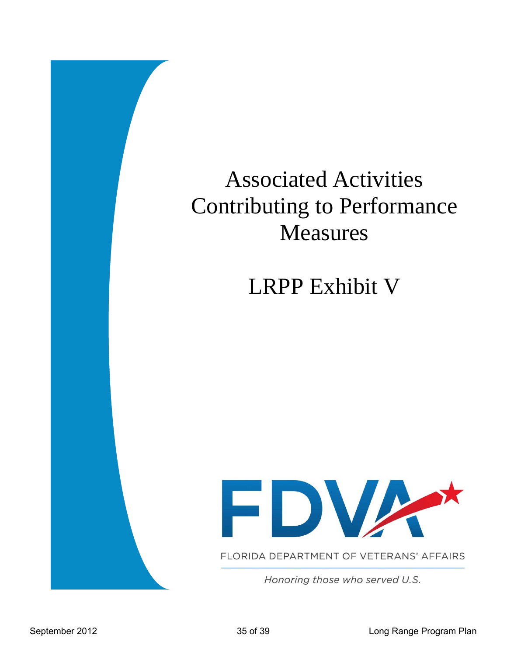# Associated Activities Contributing to Performance Measures LRPP Exhibit V



FLORIDA DEPARTMENT OF VETERANS' AFFAIRS

Honoring those who served U.S.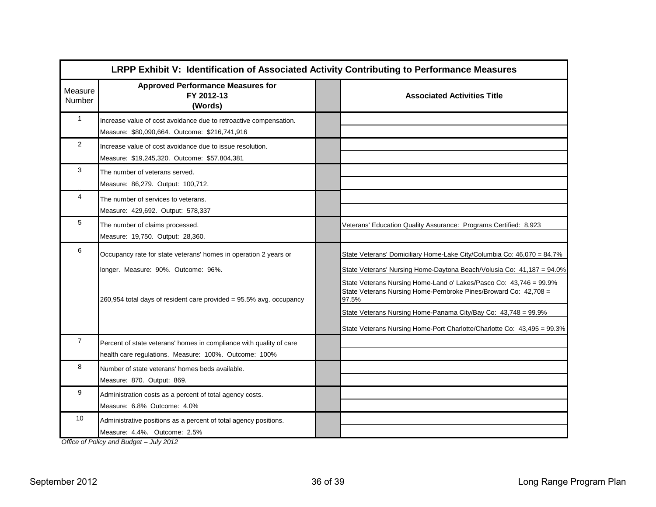| LRPP Exhibit V: Identification of Associated Activity Contributing to Performance Measures |                                                                                                                                                                                |  |                                                                                                                                                                                                                                                                                                                                                                                                                                                |  |  |  |
|--------------------------------------------------------------------------------------------|--------------------------------------------------------------------------------------------------------------------------------------------------------------------------------|--|------------------------------------------------------------------------------------------------------------------------------------------------------------------------------------------------------------------------------------------------------------------------------------------------------------------------------------------------------------------------------------------------------------------------------------------------|--|--|--|
| Measure<br>Number                                                                          | <b>Approved Performance Measures for</b><br>FY 2012-13<br>(Words)                                                                                                              |  | <b>Associated Activities Title</b>                                                                                                                                                                                                                                                                                                                                                                                                             |  |  |  |
| $\mathbf{1}$                                                                               | Increase value of cost avoidance due to retroactive compensation.<br>Measure: \$80,090,664. Outcome: \$216,741,916                                                             |  |                                                                                                                                                                                                                                                                                                                                                                                                                                                |  |  |  |
| $\overline{2}$                                                                             | Increase value of cost avoidance due to issue resolution.<br>Measure: \$19,245,320. Outcome: \$57,804,381                                                                      |  |                                                                                                                                                                                                                                                                                                                                                                                                                                                |  |  |  |
| 3                                                                                          | The number of veterans served.<br>Measure: 86,279. Output: 100,712.                                                                                                            |  |                                                                                                                                                                                                                                                                                                                                                                                                                                                |  |  |  |
| 4                                                                                          | The number of services to veterans.<br>Measure: 429,692. Output: 578,337                                                                                                       |  |                                                                                                                                                                                                                                                                                                                                                                                                                                                |  |  |  |
| 5                                                                                          | The number of claims processed.<br>Measure: 19,750. Output: 28,360.                                                                                                            |  | Veterans' Education Quality Assurance: Programs Certified: 8,923                                                                                                                                                                                                                                                                                                                                                                               |  |  |  |
| 6                                                                                          | Occupancy rate for state veterans' homes in operation 2 years or<br>longer. Measure: 90%. Outcome: 96%.<br>260,954 total days of resident care provided = 95.5% avg. occupancy |  | State Veterans' Domiciliary Home-Lake City/Columbia Co: 46,070 = 84.7%<br>State Veterans' Nursing Home-Daytona Beach/Volusia Co: 41,187 = 94.0%<br>State Veterans Nursing Home-Land o' Lakes/Pasco Co: 43,746 = 99.9%<br>State Veterans Nursing Home-Pembroke Pines/Broward Co: 42,708 =<br>97.5%<br>State Veterans Nursing Home-Panama City/Bay Co: 43,748 = 99.9%<br>State Veterans Nursing Home-Port Charlotte/Charlotte Co: 43,495 = 99.3% |  |  |  |
| $\overline{7}$                                                                             | Percent of state veterans' homes in compliance with quality of care<br>health care regulations. Measure: 100%. Outcome: 100%                                                   |  |                                                                                                                                                                                                                                                                                                                                                                                                                                                |  |  |  |
| 8                                                                                          | Number of state veterans' homes beds available.<br>Measure: 870. Output: 869.                                                                                                  |  |                                                                                                                                                                                                                                                                                                                                                                                                                                                |  |  |  |
| 9                                                                                          | Administration costs as a percent of total agency costs.<br>Measure: 6.8% Outcome: 4.0%                                                                                        |  |                                                                                                                                                                                                                                                                                                                                                                                                                                                |  |  |  |
| 10                                                                                         | Administrative positions as a percent of total agency positions.<br>Measure: 4.4%. Outcome: 2.5%                                                                               |  |                                                                                                                                                                                                                                                                                                                                                                                                                                                |  |  |  |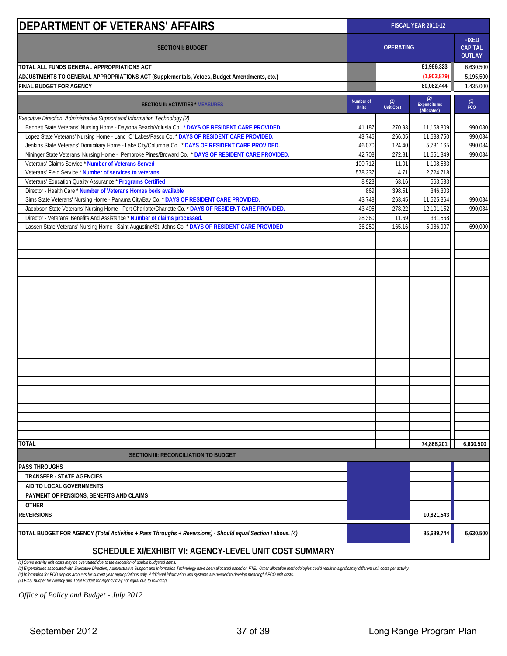| <b>DEPARTMENT OF VETERANS' AFFAIRS</b>                                                                                         | FISCAL YEAR 2011-12       |                         |                                           |                   |
|--------------------------------------------------------------------------------------------------------------------------------|---------------------------|-------------------------|-------------------------------------------|-------------------|
| <b>SECTION I: BUDGET</b>                                                                                                       |                           | <b>OPERATING</b>        |                                           |                   |
| TOTAL ALL FUNDS GENERAL APPROPRIATIONS ACT                                                                                     |                           |                         | 81,986,323                                | 6,630,500         |
| ADJUSTMENTS TO GENERAL APPROPRIATIONS ACT (Supplementals, Vetoes, Budget Amendments, etc.)                                     |                           |                         | (1,903,879)                               | $-5,195,500$      |
| FINAL BUDGET FOR AGENCY                                                                                                        |                           |                         | 80,082,444                                | 1,435,000         |
| <b>SECTION II: ACTIVITIES * MEASURES</b>                                                                                       | Number of<br><b>Units</b> | (1)<br><b>Unit Cost</b> | (2)<br><b>Expenditures</b><br>(Allocated) | (3)<br><b>FCO</b> |
| Executive Direction, Administrative Support and Information Technology (2)                                                     |                           |                         |                                           |                   |
| Bennett State Veterans' Nursing Home - Daytona Beach/Volusia Co. * DAYS OF RESIDENT CARE PROVIDED.                             | 41,187                    | 270.93                  | 11,158,809                                | 990,080           |
| Lopez State Veterans' Nursing Home - Land O' Lakes/Pasco Co. * DAYS OF RESIDENT CARE PROVIDED.                                 | 43,746                    | 266.05                  | 11,638,750                                | 990,084           |
| Jenkins State Veterans' Domiciliary Home - Lake City/Columbia Co. * DAYS OF RESIDENT CARE PROVIDED.                            | 46,070                    | 124.40                  | 5,731,165                                 | 990,084           |
| Nininger State Veterans' Nursing Home - Pembroke Pines/Broward Co. * DAYS OF RESIDENT CARE PROVIDED.                           | 42,708                    | 272.81                  | 11,651,349                                | 990,084           |
| Veterans' Claims Service * Number of Veterans Served                                                                           | 100,712                   | 11.01                   | 1,108,583                                 |                   |
| Veterans' Field Service * Number of services to veterans'                                                                      | 578,337<br>8,923          | 4.71<br>63.16           | 2,724,718                                 |                   |
| Veterans' Education Quality Assurance * Programs Certified<br>Director - Health Care * Number of Veterans Homes beds available | 869                       | 398.51                  | 563,533<br>346,303                        |                   |
| Sims State Veterans' Nursing Home - Panama City/Bay Co. * DAYS OF RESIDENT CARE PROVIDED.                                      | 43,748                    | 263.45                  | 11,525,364                                | 990,084           |
| Jacobson State Veterans' Nursing Home - Port Charlotte/Charlotte Co. * DAYS OF RESIDENT CARE PROVIDED.                         | 43,495                    | 278.22                  | 12,101,152                                | 990,084           |
| Director - Veterans' Benefits And Assistance * Number of claims processed.                                                     | 28,360                    | 11.69                   | 331,568                                   |                   |
| Lassen State Veterans' Nursing Home - Saint Augustine/St. Johns Co. * DAYS OF RESIDENT CARE PROVIDED                           | 36,250                    | 165.16                  | 5.986.907                                 | 690,000           |
|                                                                                                                                |                           |                         |                                           |                   |
|                                                                                                                                |                           |                         |                                           |                   |
|                                                                                                                                |                           |                         |                                           |                   |
|                                                                                                                                |                           |                         |                                           |                   |
|                                                                                                                                |                           |                         |                                           |                   |
|                                                                                                                                |                           |                         |                                           |                   |
|                                                                                                                                |                           |                         |                                           |                   |
|                                                                                                                                |                           |                         |                                           |                   |
|                                                                                                                                |                           |                         |                                           |                   |
|                                                                                                                                |                           |                         |                                           |                   |
|                                                                                                                                |                           |                         |                                           |                   |
|                                                                                                                                |                           |                         |                                           |                   |
|                                                                                                                                |                           |                         |                                           |                   |
|                                                                                                                                |                           |                         |                                           |                   |
|                                                                                                                                |                           |                         |                                           |                   |
|                                                                                                                                |                           |                         |                                           |                   |
|                                                                                                                                |                           |                         |                                           |                   |
|                                                                                                                                |                           |                         |                                           |                   |
|                                                                                                                                |                           |                         |                                           |                   |
| <b>TOTAL</b>                                                                                                                   |                           |                         | 74,868,201                                | 6,630,500         |
| <b>SECTION III: RECONCILIATION TO BUDGET</b>                                                                                   |                           |                         |                                           |                   |
| <b>PASS THROUGHS</b>                                                                                                           |                           |                         |                                           |                   |
| <b>TRANSFER - STATE AGENCIES</b>                                                                                               |                           |                         |                                           |                   |
| AID TO LOCAL GOVERNMENTS                                                                                                       |                           |                         |                                           |                   |
| PAYMENT OF PENSIONS, BENEFITS AND CLAIMS                                                                                       |                           |                         |                                           |                   |
| <b>OTHER</b>                                                                                                                   |                           |                         |                                           |                   |
| <b>REVERSIONS</b>                                                                                                              |                           |                         | 10,821,543                                |                   |
| TOTAL BUDGET FOR AGENCY (Total Activities + Pass Throughs + Reversions) - Should equal Section I above. (4)                    |                           |                         | 85,689,744                                | 6,630,500         |
| COHEDIJI E VIJEVHIRIT VI: ACENOV I EVEL IJNIJT ODST SLIMMADV                                                                   |                           |                         |                                           |                   |

#### **SCHEDULE XI/EXHIBIT VI: AGENCY-LEVEL UNIT COST SUMMARY**

*(1) Some activity unit costs may be overstated due to the allocation of double budgeted items.* 

(2) Expenditures associated with Executive Direction, Administrative Support and Information Technology have been allocated based on FTE. Other allocation methodologies could result in significantly different unit costs p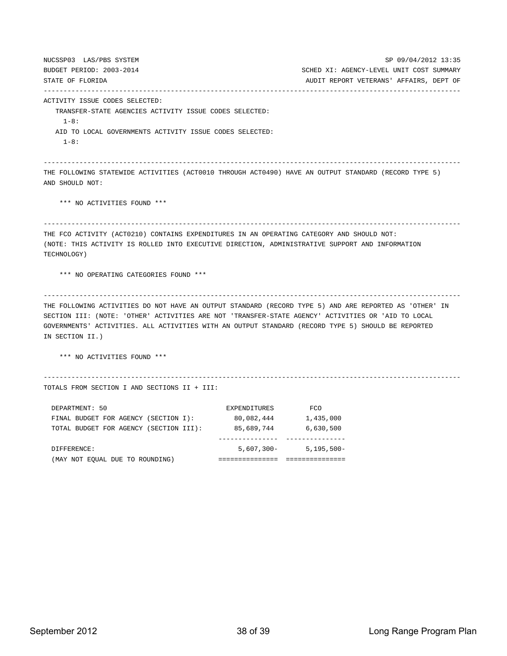NUCSSP03 LAS/PBS SYSTEM SP 09/04/2012 13:35 BUDGET PERIOD: 2003-2014 SCHED XI: AGENCY-LEVEL UNIT COST SUMMARY STATE OF FLORIDA AUDIT REPORT VETERANS' AFFAIRS, DEPT OF --------------------------------------------------------------------------------------------------------- ACTIVITY ISSUE CODES SELECTED: TRANSFER-STATE AGENCIES ACTIVITY ISSUE CODES SELECTED:  $1 - 8:$  AID TO LOCAL GOVERNMENTS ACTIVITY ISSUE CODES SELECTED: 1-8: --------------------------------------------------------------------------------------------------------- THE FOLLOWING STATEWIDE ACTIVITIES (ACT0010 THROUGH ACT0490) HAVE AN OUTPUT STANDARD (RECORD TYPE 5) AND SHOULD NOT: \*\*\* NO ACTIVITIES FOUND \*\*\* --------------------------------------------------------------------------------------------------------- THE FCO ACTIVITY (ACT0210) CONTAINS EXPENDITURES IN AN OPERATING CATEGORY AND SHOULD NOT: (NOTE: THIS ACTIVITY IS ROLLED INTO EXECUTIVE DIRECTION, ADMINISTRATIVE SUPPORT AND INFORMATION TECHNOLOGY) \*\*\* NO OPERATING CATEGORIES FOUND \*\*\* --------------------------------------------------------------------------------------------------------- THE FOLLOWING ACTIVITIES DO NOT HAVE AN OUTPUT STANDARD (RECORD TYPE 5) AND ARE REPORTED AS 'OTHER' IN SECTION III: (NOTE: 'OTHER' ACTIVITIES ARE NOT 'TRANSFER-STATE AGENCY' ACTIVITIES OR 'AID TO LOCAL GOVERNMENTS' ACTIVITIES. ALL ACTIVITIES WITH AN OUTPUT STANDARD (RECORD TYPE 5) SHOULD BE REPORTED IN SECTION II.) \*\*\* NO ACTIVITIES FOUND \*\*\* --------------------------------------------------------------------------------------------------------- TOTALS FROM SECTION I AND SECTIONS II + III: DEPARTMENT: 50 EXPENDITURES FCO FINAL BUDGET FOR AGENCY (SECTION I): 80,082,444 1,435,000 TOTAL BUDGET FOR AGENCY (SECTION III): 85,689,744 6,630,500 --------------- --------------- DIFFERENCE: 5,607,300- 5,195,500- (MAY NOT EQUAL DUE TO ROUNDING) =============== ===============